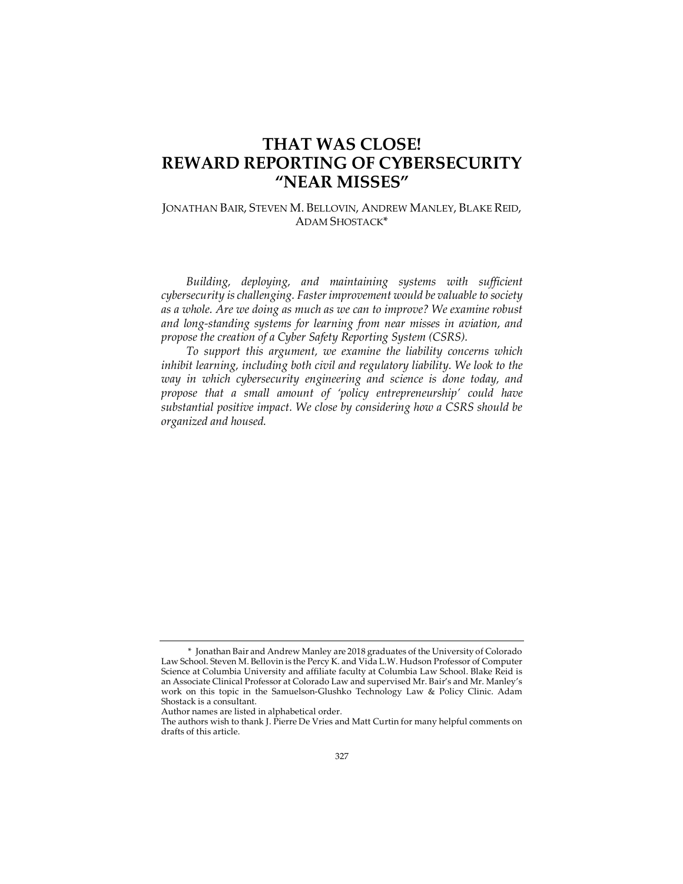# **THAT WAS CLOSE! REWARD REPORTING OF CYBERSECURITY "NEAR MISSES"**

JONATHAN BAIR, STEVEN M. BELLOVIN, ANDREW MANLEY, BLAKE REID, ADAM SHOSTACK\*

*Building, deploying, and maintaining systems with sufficient cybersecurity is challenging. Faster improvement would be valuable to society as a whole. Are we doing as much as we can to improve? We examine robust and long-standing systems for learning from near misses in aviation, and propose the creation of a Cyber Safety Reporting System (CSRS).*

*To support this argument, we examine the liability concerns which inhibit learning, including both civil and regulatory liability. We look to the way in which cybersecurity engineering and science is done today, and propose that a small amount of 'policy entrepreneurship' could have substantial positive impact. We close by considering how a CSRS should be organized and housed.*

<sup>\*</sup> Jonathan Bair and Andrew Manley are 2018 graduates of the University of Colorado Law School. Steven M. Bellovin is the Percy K. and Vida L.W. Hudson Professor of Computer Science at Columbia University and affiliate faculty at Columbia Law School. Blake Reid is an Associate Clinical Professor at Colorado Law and supervised Mr. Bair's and Mr. Manley's work on this topic in the Samuelson-Glushko Technology Law & Policy Clinic. Adam Shostack is a consultant.

Author names are listed in alphabetical order.

The authors wish to thank J. Pierre De Vries and Matt Curtin for many helpful comments on drafts of this article.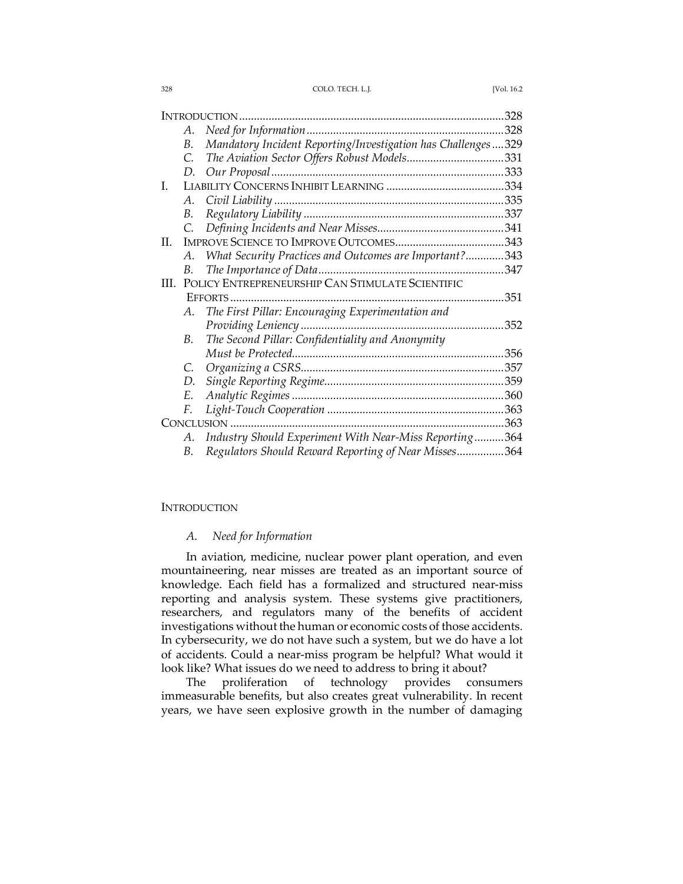328 COLO. TECH. L.J. [Vol. 16.2

| INTRODUCTION |    |                                                              | 328  |
|--------------|----|--------------------------------------------------------------|------|
|              | А. | Need for Information                                         | 328  |
|              | В. | Mandatory Incident Reporting/Investigation has Challenges329 |      |
|              | C. | The Aviation Sector Offers Robust Models331                  |      |
|              | D. | Our Proposal                                                 |      |
| I.           |    |                                                              |      |
|              | А. |                                                              |      |
|              | В. |                                                              |      |
|              | C. |                                                              |      |
| H.           |    |                                                              |      |
|              | А. | What Security Practices and Outcomes are Important?343       |      |
|              | В. | The Importance of Data                                       |      |
| HI.          |    | POLICY ENTREPRENEURSHIP CAN STIMULATE SCIENTIFIC             |      |
|              |    | EFFORTS                                                      | 351  |
|              | А. | The First Pillar: Encouraging Experimentation and            |      |
|              |    | Providing Leniency                                           | 352  |
|              | В. | The Second Pillar: Confidentiality and Anonymity             |      |
|              |    | Must be Protected                                            | .356 |
|              | C. |                                                              | 357  |
|              | D. |                                                              |      |
|              | Ε. |                                                              | 360  |
|              | F. |                                                              |      |
| CONCLUSION   |    |                                                              |      |
|              | А. | Industry Should Experiment With Near-Miss Reporting364       |      |
|              | В. | Regulators Should Reward Reporting of Near Misses364         |      |

## **INTRODUCTION**

## *A. Need for Information*

In aviation, medicine, nuclear power plant operation, and even mountaineering, near misses are treated as an important source of knowledge. Each field has a formalized and structured near-miss reporting and analysis system. These systems give practitioners, researchers, and regulators many of the benefits of accident investigations without the human or economic costs of those accidents. In cybersecurity, we do not have such a system, but we do have a lot of accidents. Could a near-miss program be helpful? What would it look like? What issues do we need to address to bring it about?

The proliferation of technology provides consumers immeasurable benefits, but also creates great vulnerability. In recent years, we have seen explosive growth in the number of damaging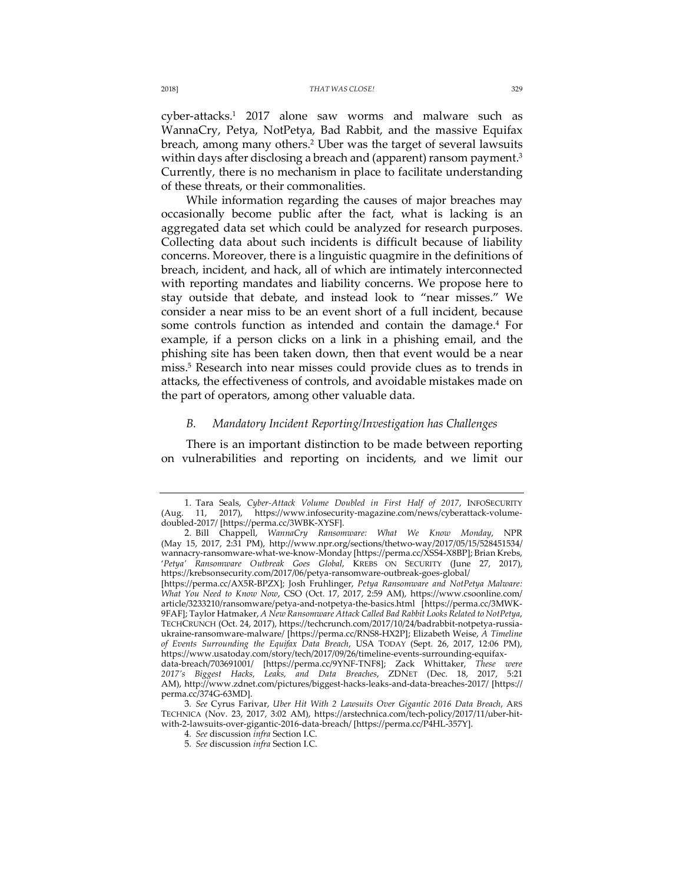cyber-attacks.1 2017 alone saw worms and malware such as WannaCry, Petya, NotPetya, Bad Rabbit, and the massive Equifax breach, among many others.2 Uber was the target of several lawsuits within days after disclosing a breach and (apparent) ransom payment.<sup>3</sup> Currently, there is no mechanism in place to facilitate understanding of these threats, or their commonalities.

While information regarding the causes of major breaches may occasionally become public after the fact, what is lacking is an aggregated data set which could be analyzed for research purposes. Collecting data about such incidents is difficult because of liability concerns. Moreover, there is a linguistic quagmire in the definitions of breach, incident, and hack, all of which are intimately interconnected with reporting mandates and liability concerns. We propose here to stay outside that debate, and instead look to "near misses." We consider a near miss to be an event short of a full incident, because some controls function as intended and contain the damage.<sup>4</sup> For example, if a person clicks on a link in a phishing email, and the phishing site has been taken down, then that event would be a near miss.5 Research into near misses could provide clues as to trends in attacks, the effectiveness of controls, and avoidable mistakes made on the part of operators, among other valuable data.

## *B. Mandatory Incident Reporting/Investigation has Challenges*

There is an important distinction to be made between reporting on vulnerabilities and reporting on incidents, and we limit our

<sup>1.</sup> Tara Seals, *Cyber-Attack Volume Doubled in First Half of 2017*, INFOSECURITY https://www.infosecurity-magazine.com/news/cyberattack-volumedoubled-2017/ [https://perma.cc/3WBK-XYSF].

<sup>2.</sup> Bill Chappell, *WannaCry Ransomware: What We Know Monday*, NPR (May 15, 2017, 2:31 PM), http://www.npr.org/sections/thetwo-way/2017/05/15/528451534/ wannacry-ransomware-what-we-know-Monday [https://perma.cc/XSS4-X8BP]; Brian Krebs, '*Petya' Ransomware Outbreak Goes Global*, KREBS ON SECURITY (June 27, 2017), https://krebsonsecurity.com/2017/06/petya-ransomware-outbreak-goes-global/ [https://perma.cc/AX5R-BPZX]; Josh Fruhlinger, *Petya Ransomware and NotPetya Malware:* 

*What You Need to Know Now*, CSO (Oct. 17, 2017, 2:59 AM), https://www.csoonline.com/ article/3233210/ransomware/petya-and-notpetya-the-basics.html [https://perma.cc/3MWK-9FAF]; Taylor Hatmaker, *A New Ransomware Attack Called Bad Rabbit Looks Related to NotPetya*, TECHCRUNCH (Oct. 24, 2017), https://techcrunch.com/2017/10/24/badrabbit-notpetya-russiaukraine-ransomware-malware/ [https://perma.cc/RNS8-HX2P]; Elizabeth Weise, *A Timeline of Events Surrounding the Equifax Data Breach*, USA TODAY (Sept. 26, 2017, 12:06 PM), https://www.usatoday.com/story/tech/2017/09/26/timeline-events-surrounding-equifax-

data-breach/703691001/ [https://perma.cc/9YNF-TNF8]; Zack Whittaker, *These were 2017's Biggest Hacks, Leaks, and Data Breaches*, ZDNET (Dec. 18, 2017, 5:21 AM), http://www.zdnet.com/pictures/biggest-hacks-leaks-and-data-breaches-2017/ [https:// perma.cc/374G-63MD].

<sup>3</sup>*. See* Cyrus Farivar, *Uber Hit With 2 Lawsuits Over Gigantic 2016 Data Breach*, ARS TECHNICA (Nov. 23, 2017, 3:02 AM), https://arstechnica.com/tech-policy/2017/11/uber-hitwith-2-lawsuits-over-gigantic-2016-data-breach/ [https://perma.cc/P4HL-357Y].

<sup>4</sup>*. See* discussion *infra* Section I.C.

<sup>5</sup>*. See* discussion *infra* Section I.C.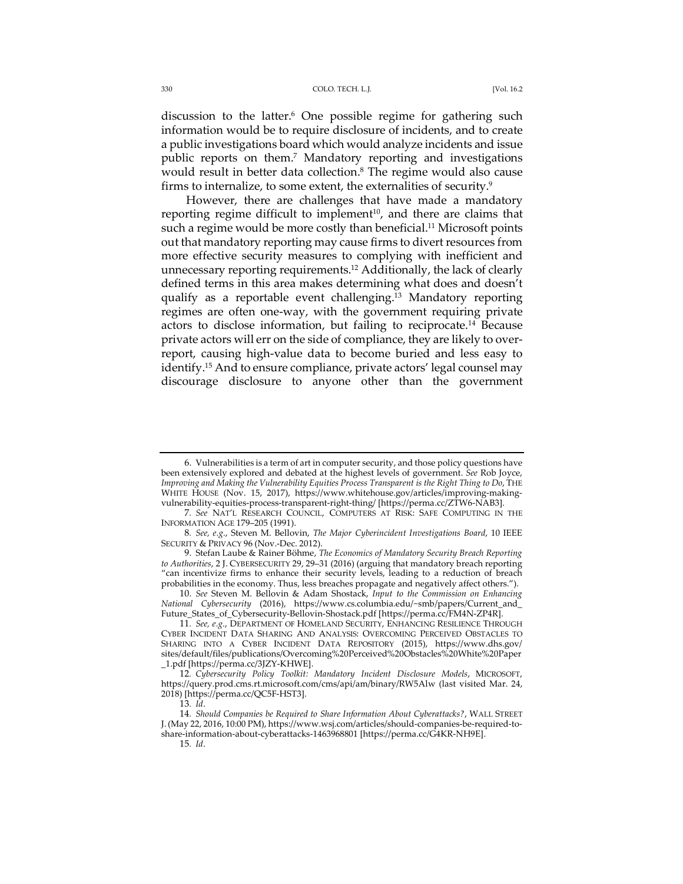discussion to the latter.<sup>6</sup> One possible regime for gathering such information would be to require disclosure of incidents, and to create a public investigations board which would analyze incidents and issue public reports on them.7 Mandatory reporting and investigations would result in better data collection.<sup>8</sup> The regime would also cause firms to internalize, to some extent, the externalities of security.9

However, there are challenges that have made a mandatory reporting regime difficult to implement<sup>10</sup>, and there are claims that such a regime would be more costly than beneficial.<sup>11</sup> Microsoft points out that mandatory reporting may cause firms to divert resources from more effective security measures to complying with inefficient and unnecessary reporting requirements.<sup>12</sup> Additionally, the lack of clearly defined terms in this area makes determining what does and doesn't qualify as a reportable event challenging.13 Mandatory reporting regimes are often one-way, with the government requiring private actors to disclose information, but failing to reciprocate.14 Because private actors will err on the side of compliance, they are likely to overreport, causing high-value data to become buried and less easy to identify.15 And to ensure compliance, private actors' legal counsel may discourage disclosure to anyone other than the government

15*. Id*.

<sup>6.</sup> Vulnerabilities is a term of art in computer security, and those policy questions have been extensively explored and debated at the highest levels of government. *See* Rob Joyce, *Improving and Making the Vulnerability Equities Process Transparent is the Right Thing to Do*, THE WHITE HOUSE (Nov. 15, 2017), https://www.whitehouse.gov/articles/improving-makingvulnerability-equities-process-transparent-right-thing/ [https://perma.cc/ZTW6-NAB3].

<sup>7</sup>*. See* NAT'L RESEARCH COUNCIL, COMPUTERS AT RISK: SAFE COMPUTING IN THE INFORMATION AGE 179–205 (1991).

<sup>8</sup>*. See, e.g.*, Steven M. Bellovin, *The Major Cyberincident Investigations Board*, 10 IEEE SECURITY & PRIVACY 96 (Nov.-Dec. 2012).

<sup>9.</sup> Stefan Laube & Rainer Böhme, *The Economics of Mandatory Security Breach Reporting to Authorities*, 2 J. CYBERSECURITY 29, 29–31 (2016) (arguing that mandatory breach reporting "can incentivize firms to enhance their security levels, leading to a reduction of breach probabilities in the economy. Thus, less breaches propagate and negatively affect others.").

<sup>10.</sup> *See* Steven M. Bellovin & Adam Shostack, *Input to the Commission on Enhancing National Cybersecurity* (2016), https://www.cs.columbia.edu/~smb/papers/Current\_and\_ Future\_States\_of\_Cybersecurity-Bellovin-Shostack.pdf [https://perma.cc/FM4N-ZP4R].

<sup>11</sup>*. See, e.g.*, DEPARTMENT OF HOMELAND SECURITY, ENHANCING RESILIENCE THROUGH CYBER INCIDENT DATA SHARING AND ANALYSIS: OVERCOMING PERCEIVED OBSTACLES TO SHARING INTO A CYBER INCIDENT DATA REPOSITORY (2015), https://www.dhs.gov/ sites/default/files/publications/Overcoming%20Perceived%20Obstacles%20White%20Paper \_1.pdf [https://perma.cc/3JZY-KHWE].

<sup>12</sup>*. Cybersecurity Policy Toolkit: Mandatory Incident Disclosure Models*, MICROSOFT, https://query.prod.cms.rt.microsoft.com/cms/api/am/binary/RW5Alw (last visited Mar. 24, 2018) [https://perma.cc/QC5F-HST3].

<sup>13</sup>*. Id*.

<sup>14</sup>*. Should Companies be Required to Share Information About Cyberattacks?*, WALL STREET J. (May 22, 2016, 10:00 PM), https://www.wsj.com/articles/should-companies-be-required-toshare-information-about-cyberattacks-1463968801 [https://perma.cc/G4KR-NH9E].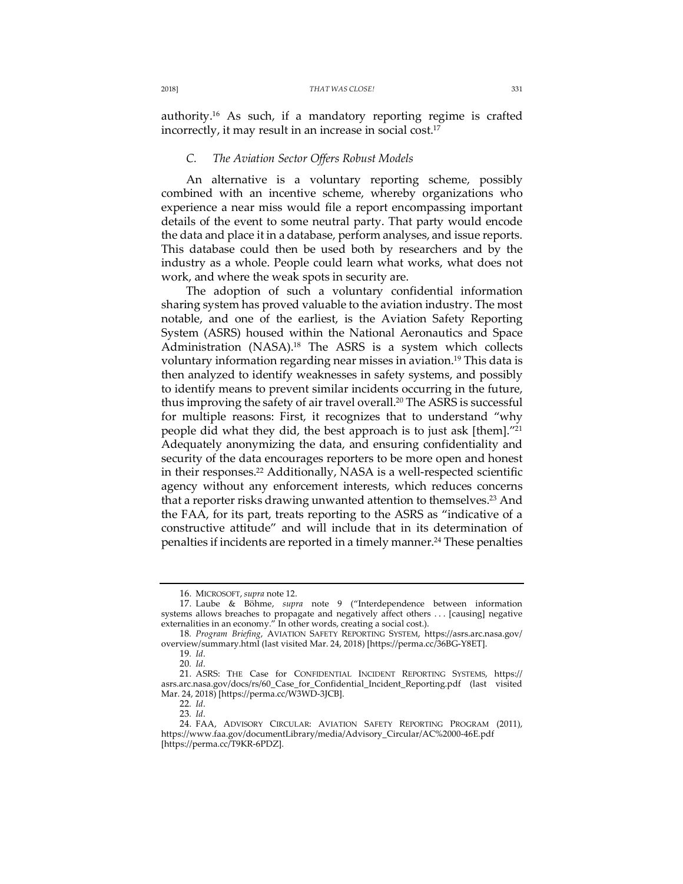authority.16 As such, if a mandatory reporting regime is crafted incorrectly, it may result in an increase in social cost.17

## *C. The Aviation Sector Offers Robust Models*

An alternative is a voluntary reporting scheme, possibly combined with an incentive scheme, whereby organizations who experience a near miss would file a report encompassing important details of the event to some neutral party. That party would encode the data and place it in a database, perform analyses, and issue reports. This database could then be used both by researchers and by the industry as a whole. People could learn what works, what does not work, and where the weak spots in security are.

The adoption of such a voluntary confidential information sharing system has proved valuable to the aviation industry. The most notable, and one of the earliest, is the Aviation Safety Reporting System (ASRS) housed within the National Aeronautics and Space Administration (NASA).<sup>18</sup> The ASRS is a system which collects voluntary information regarding near misses in aviation.<sup>19</sup> This data is then analyzed to identify weaknesses in safety systems, and possibly to identify means to prevent similar incidents occurring in the future, thus improving the safety of air travel overall.20 The ASRS is successful for multiple reasons: First, it recognizes that to understand "why people did what they did, the best approach is to just ask [them]."21 Adequately anonymizing the data, and ensuring confidentiality and security of the data encourages reporters to be more open and honest in their responses.<sup>22</sup> Additionally, NASA is a well-respected scientific agency without any enforcement interests, which reduces concerns that a reporter risks drawing unwanted attention to themselves.<sup>23</sup> And the FAA, for its part, treats reporting to the ASRS as "indicative of a constructive attitude" and will include that in its determination of penalties if incidents are reported in a timely manner.<sup>24</sup> These penalties

<sup>16.</sup> MICROSOFT, *supra* note 12.

<sup>17.</sup> Laube & Böhme, *supra* note 9 ("Interdependence between information systems allows breaches to propagate and negatively affect others . . . [causing] negative externalities in an economy." In other words, creating a social cost.).

<sup>18</sup>*. Program Briefing*, AVIATION SAFETY REPORTING SYSTEM, https://asrs.arc.nasa.gov/ overview/summary.html (last visited Mar. 24, 2018) [https://perma.cc/36BG-Y8ET].

<sup>19</sup>*. Id*.

<sup>20</sup>*. Id*.

<sup>21.</sup> ASRS: THE Case for CONFIDENTIAL INCIDENT REPORTING SYSTEMS, https:// asrs.arc.nasa.gov/docs/rs/60\_Case\_for\_Confidential\_Incident\_Reporting.pdf (last visited Mar. 24, 2018) [https://perma.cc/W3WD-3JCB].

<sup>22</sup>*. Id*.

<sup>23</sup>*. Id*.

<sup>24.</sup> FAA, ADVISORY CIRCULAR: AVIATION SAFETY REPORTING PROGRAM (2011), https://www.faa.gov/documentLibrary/media/Advisory\_Circular/AC%2000-46E.pdf [https://perma.cc/T9KR-6PDZ].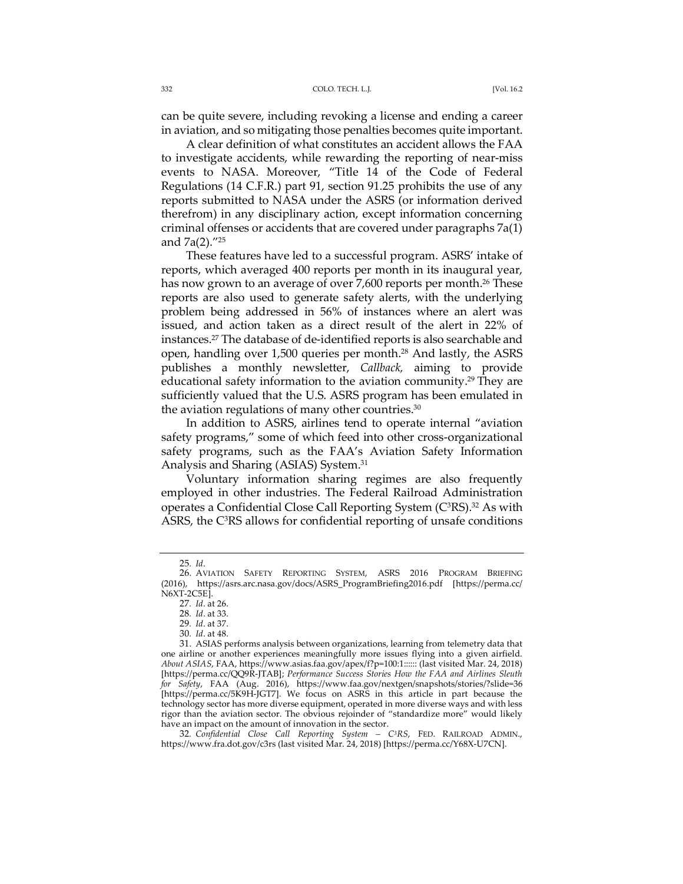can be quite severe, including revoking a license and ending a career in aviation, and so mitigating those penalties becomes quite important.

A clear definition of what constitutes an accident allows the FAA to investigate accidents, while rewarding the reporting of near-miss events to NASA. Moreover, "Title 14 of the Code of Federal Regulations (14 C.F.R.) part 91, section 91.25 prohibits the use of any reports submitted to NASA under the ASRS (or information derived therefrom) in any disciplinary action, except information concerning criminal offenses or accidents that are covered under paragraphs 7a(1) and 7a(2)."25

These features have led to a successful program. ASRS' intake of reports, which averaged 400 reports per month in its inaugural year, has now grown to an average of over 7,600 reports per month.<sup>26</sup> These reports are also used to generate safety alerts, with the underlying problem being addressed in 56% of instances where an alert was issued, and action taken as a direct result of the alert in 22% of instances.27 The database of de-identified reports is also searchable and open, handling over 1,500 queries per month.28 And lastly, the ASRS publishes a monthly newsletter, *Callback,* aiming to provide educational safety information to the aviation community.<sup>29</sup> They are sufficiently valued that the U.S. ASRS program has been emulated in the aviation regulations of many other countries. $30$ 

In addition to ASRS, airlines tend to operate internal "aviation safety programs," some of which feed into other cross-organizational safety programs, such as the FAA's Aviation Safety Information Analysis and Sharing (ASIAS) System.31

Voluntary information sharing regimes are also frequently employed in other industries. The Federal Railroad Administration operates a Confidential Close Call Reporting System (C<sup>3</sup>RS).<sup>32</sup> As with ASRS, the C<sup>3</sup>RS allows for confidential reporting of unsafe conditions

32*. Confidential Close Call Reporting System – C3RS*, FED. RAILROAD ADMIN., https://www.fra.dot.gov/c3rs (last visited Mar. 24, 2018) [https://perma.cc/Y68X-U7CN].

<sup>25</sup>*. Id*.

<sup>26.</sup> AVIATION SAFETY REPORTING SYSTEM, ASRS 2016 PROGRAM BRIEFING (2016), https://asrs.arc.nasa.gov/docs/ASRS\_ProgramBriefing2016.pdf [https://perma.cc/ N6XT-2C5E].

<sup>27</sup>*. Id*. at 26.

<sup>28</sup>*. Id*. at 33.

<sup>29</sup>*. Id*. at 37.

<sup>30</sup>*. Id*. at 48.

<sup>31.</sup> ASIAS performs analysis between organizations, learning from telemetry data that one airline or another experiences meaningfully more issues flying into a given airfield. *About ASIAS*, FAA, https://www.asias.faa.gov/apex/f?p=100:1:::::: (last visited Mar. 24, 2018) [https://perma.cc/QQ9R-JTAB]; *Performance Success Stories How the FAA and Airlines Sleuth for Safety*, FAA (Aug. 2016), https://www.faa.gov/nextgen/snapshots/stories/?slide=36 [https://perma.cc/5K9H-JGT7]. We focus on ASRS in this article in part because the technology sector has more diverse equipment, operated in more diverse ways and with less rigor than the aviation sector. The obvious rejoinder of "standardize more" would likely have an impact on the amount of innovation in the sector.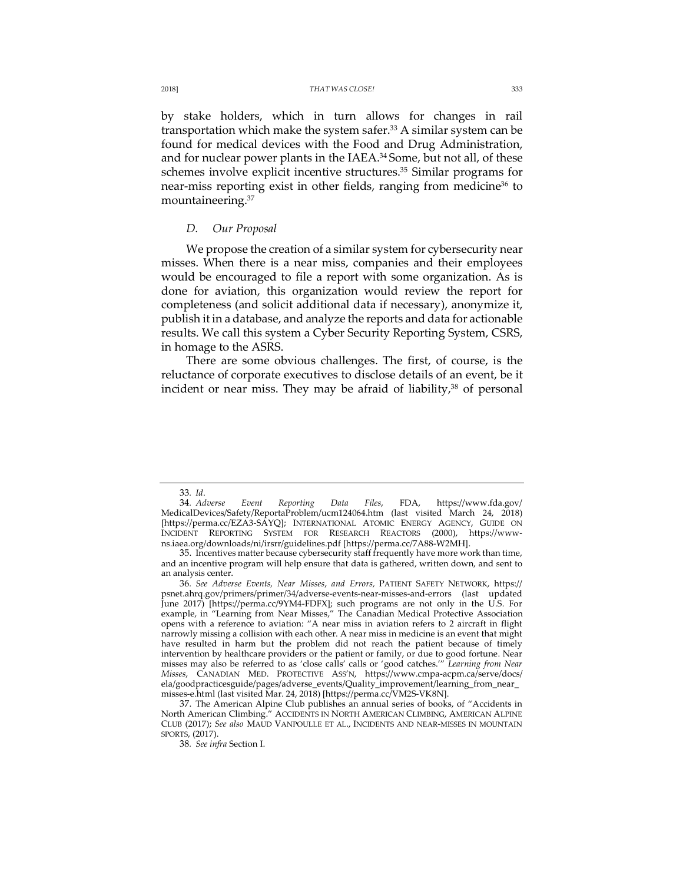by stake holders, which in turn allows for changes in rail transportation which make the system safer.<sup>33</sup> A similar system can be found for medical devices with the Food and Drug Administration, and for nuclear power plants in the IAEA.<sup>34</sup> Some, but not all, of these schemes involve explicit incentive structures.<sup>35</sup> Similar programs for near-miss reporting exist in other fields, ranging from medicine<sup>36</sup> to mountaineering.37

## *D. Our Proposal*

We propose the creation of a similar system for cybersecurity near misses. When there is a near miss, companies and their employees would be encouraged to file a report with some organization. As is done for aviation, this organization would review the report for completeness (and solicit additional data if necessary), anonymize it, publish it in a database, and analyze the reports and data for actionable results. We call this system a Cyber Security Reporting System, CSRS, in homage to the ASRS.

There are some obvious challenges. The first, of course, is the reluctance of corporate executives to disclose details of an event, be it incident or near miss. They may be afraid of liability, $38$  of personal

<sup>33</sup>*. Id*.

<sup>34</sup>*. Adverse Event Reporting Data Files*, FDA, https://www.fda.gov/ MedicalDevices/Safety/ReportaProblem/ucm124064.htm (last visited March 24, 2018) [https://perma.cc/EZA3-SAYQ]; INTERNATIONAL ATOMIC ENERGY AGENCY, GUIDE ON INCIDENT REPORTING SYSTEM FOR RESEARCH REACTORS (2000), https://wwwns.iaea.org/downloads/ni/irsrr/guidelines.pdf [https://perma.cc/7A88-W2MH].

<sup>35.</sup> Incentives matter because cybersecurity staff frequently have more work than time, and an incentive program will help ensure that data is gathered, written down, and sent to an analysis center.

<sup>36</sup>*. See Adverse Events, Near Misses*, *and Errors,* PATIENT SAFETY NETWORK, https:// psnet.ahrq.gov/primers/primer/34/adverse-events-near-misses-and-errors (last updated June 2017) [https://perma.cc/9YM4-FDFX]; such programs are not only in the U.S. For example, in "Learning from Near Misses," The Canadian Medical Protective Association opens with a reference to aviation: "A near miss in aviation refers to 2 aircraft in flight narrowly missing a collision with each other. A near miss in medicine is an event that might have resulted in harm but the problem did not reach the patient because of timely intervention by healthcare providers or the patient or family, or due to good fortune. Near misses may also be referred to as 'close calls' calls or 'good catches.'" *Learning from Near Misses*, CANADIAN MED. PROTECTIVE ASS'N, https://www.cmpa-acpm.ca/serve/docs/ ela/goodpracticesguide/pages/adverse\_events/Quality\_improvement/learning\_from\_near\_ misses-e.html (last visited Mar. 24, 2018) [https://perma.cc/VM2S-VK8N].

<sup>37.</sup> The American Alpine Club publishes an annual series of books, of "Accidents in North American Climbing." ACCIDENTS IN NORTH AMERICAN CLIMBING, AMERICAN ALPINE CLUB (2017); *See also* MAUD VANPOULLE ET AL., INCIDENTS AND NEAR-MISSES IN MOUNTAIN SPORTS, (2017).

<sup>38</sup>*. See infra* Section I.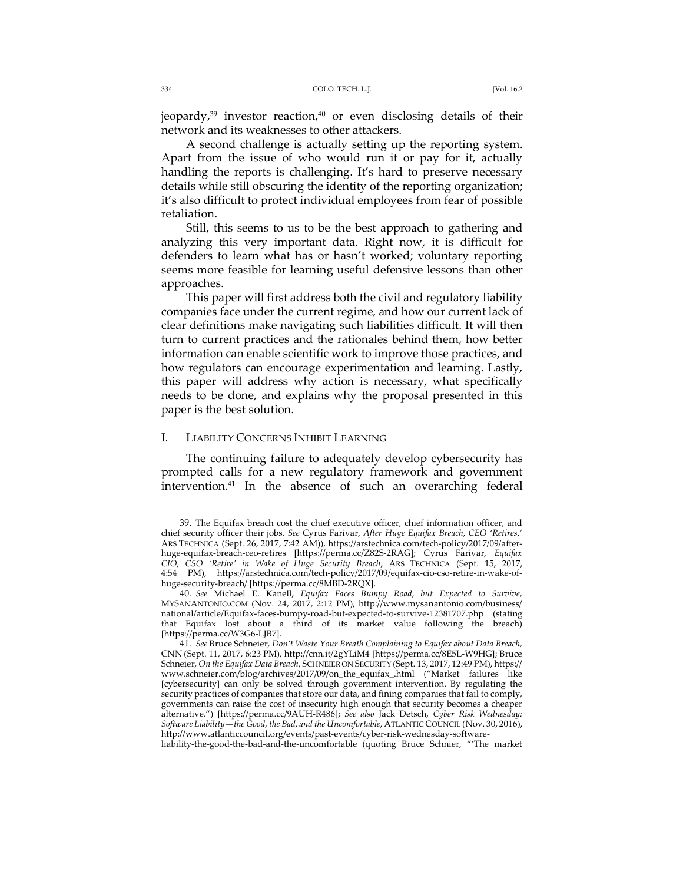jeopardy, $39$  investor reaction, $40$  or even disclosing details of their network and its weaknesses to other attackers.

A second challenge is actually setting up the reporting system. Apart from the issue of who would run it or pay for it, actually handling the reports is challenging. It's hard to preserve necessary details while still obscuring the identity of the reporting organization; it's also difficult to protect individual employees from fear of possible retaliation.

Still, this seems to us to be the best approach to gathering and analyzing this very important data. Right now, it is difficult for defenders to learn what has or hasn't worked; voluntary reporting seems more feasible for learning useful defensive lessons than other approaches.

This paper will first address both the civil and regulatory liability companies face under the current regime, and how our current lack of clear definitions make navigating such liabilities difficult. It will then turn to current practices and the rationales behind them, how better information can enable scientific work to improve those practices, and how regulators can encourage experimentation and learning. Lastly, this paper will address why action is necessary, what specifically needs to be done, and explains why the proposal presented in this paper is the best solution.

## I. LIABILITY CONCERNS INHIBIT LEARNING

The continuing failure to adequately develop cybersecurity has prompted calls for a new regulatory framework and government intervention.41 In the absence of such an overarching federal

<sup>39.</sup> The Equifax breach cost the chief executive officer, chief information officer, and chief security officer their jobs. *See* Cyrus Farivar, *After Huge Equifax Breach, CEO 'Retires*,*'* ARS TECHNICA (Sept. 26, 2017, 7:42 AM)), https://arstechnica.com/tech-policy/2017/09/afterhuge-equifax-breach-ceo-retires [https://perma.cc/Z82S-2RAG]; Cyrus Farivar, *Equifax CIO, CSO 'Retire' in Wake of Huge Security Breach*, ARS TECHNICA (Sept. 15, 2017, 4:54 PM), https://arstechnica.com/tech-policy/2017/09/equifax-cio-cso-retire-in-wake-ofhuge-security-breach/ [https://perma.cc/8MBD-2RQX].

<sup>40</sup>*. See* Michael E. Kanell, *Equifax Faces Bumpy Road, but Expected to Survive*, MYSANANTONIO.COM (Nov. 24, 2017, 2:12 PM), http://www.mysanantonio.com/business/ national/article/Equifax-faces-bumpy-road-but-expected-to-survive-12381707.php (stating that Equifax lost about a third of its market value following the breach) [https://perma.cc/W3G6-LJB7].

<sup>41</sup>*. See* Bruce Schneier, *Don't Waste Your Breath Complaining to Equifax about Data Breach,*  CNN (Sept. 11, 2017, 6:23 PM), http://cnn.it/2gYLiM4 [https://perma.cc/8E5L-W9HG]; Bruce Schneier, *On the Equifax Data Breach*, SCHNEIER ON SECURITY (Sept. 13, 2017, 12:49 PM), https:// www.schneier.com/blog/archives/2017/09/on\_the\_equifax\_.html ("Market failures like [cybersecurity] can only be solved through government intervention. By regulating the security practices of companies that store our data, and fining companies that fail to comply, governments can raise the cost of insecurity high enough that security becomes a cheaper alternative.") [https://perma.cc/9AUH-R486]; *See also* Jack Detsch, *Cyber Risk Wednesday: Software Liability—the Good, the Bad, and the Uncomfortable,* ATLANTIC COUNCIL (Nov. 30, 2016), http://www.atlanticcouncil.org/events/past-events/cyber-risk-wednesday-software-

liability-the-good-the-bad-and-the-uncomfortable (quoting Bruce Schnier, "'The market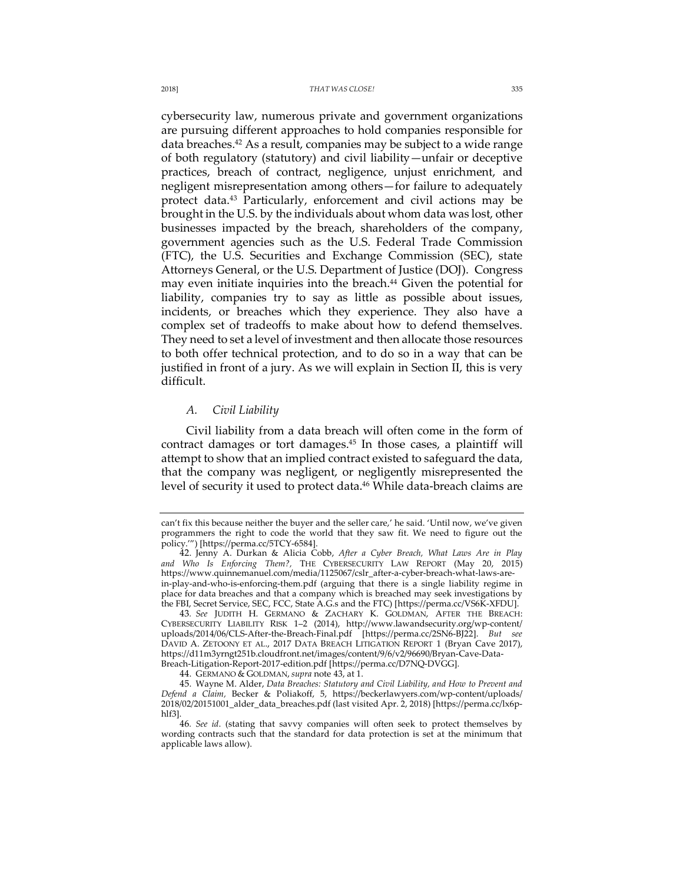cybersecurity law, numerous private and government organizations are pursuing different approaches to hold companies responsible for data breaches.<sup>42</sup> As a result, companies may be subject to a wide range of both regulatory (statutory) and civil liability—unfair or deceptive practices, breach of contract, negligence, unjust enrichment, and negligent misrepresentation among others—for failure to adequately protect data.43 Particularly, enforcement and civil actions may be brought in the U.S. by the individuals about whom data was lost, other businesses impacted by the breach, shareholders of the company, government agencies such as the U.S. Federal Trade Commission (FTC), the U.S. Securities and Exchange Commission (SEC), state Attorneys General, or the U.S. Department of Justice (DOJ). Congress may even initiate inquiries into the breach.<sup>44</sup> Given the potential for liability, companies try to say as little as possible about issues, incidents, or breaches which they experience. They also have a complex set of tradeoffs to make about how to defend themselves. They need to set a level of investment and then allocate those resources to both offer technical protection, and to do so in a way that can be justified in front of a jury. As we will explain in Section II, this is very difficult.

## *A. Civil Liability*

Civil liability from a data breach will often come in the form of contract damages or tort damages.45 In those cases, a plaintiff will attempt to show that an implied contract existed to safeguard the data, that the company was negligent, or negligently misrepresented the level of security it used to protect data.<sup>46</sup> While data-breach claims are

can't fix this because neither the buyer and the seller care,' he said. 'Until now, we've given programmers the right to code the world that they saw fit. We need to figure out the policy.'") [https://perma.cc/5TCY-6584].

<sup>42.</sup> Jenny A. Durkan & Alicia Cobb, *After a Cyber Breach, What Laws Are in Play and Who Is Enforcing Them?,* THE CYBERSECURITY LAW REPORT (May 20, 2015) https://www.quinnemanuel.com/media/1125067/cslr\_after-a-cyber-breach-what-laws-arein-play-and-who-is-enforcing-them.pdf (arguing that there is a single liability regime in place for data breaches and that a company which is breached may seek investigations by the FBI, Secret Service, SEC, FCC, State A.G.s and the FTC) [https://perma.cc/VS6K-XFDU].

<sup>43</sup>*. See* JUDITH H. GERMANO & ZACHARY K. GOLDMAN, AFTER THE BREACH: CYBERSECURITY LIABILITY RISK 1–2 (2014), http://www.lawandsecurity.org/wp-content/ uploads/2014/06/CLS-After-the-Breach-Final.pdf [https://perma.cc/2SN6-BJ22]. *But see* DAVID A. ZETOONY ET AL., 2017 DATA BREACH LITIGATION REPORT 1 (Bryan Cave 2017), https://d11m3yrngt251b.cloudfront.net/images/content/9/6/v2/96690/Bryan-Cave-Data-Breach-Litigation-Report-2017-edition.pdf [https://perma.cc/D7NQ-DVGG].

<sup>44.</sup> GERMANO & GOLDMAN, *supra* note 43, at 1.

<sup>45.</sup> Wayne M. Alder, *Data Breaches: Statutory and Civil Liability, and How to Prevent and Defend a Claim,* Becker & Poliakoff, 5, https://beckerlawyers.com/wp-content/uploads/ 2018/02/20151001\_alder\_data\_breaches.pdf (last visited Apr. 2, 2018) [https://perma.cc/lx6phlf3].

<sup>46</sup>*. See id*. (stating that savvy companies will often seek to protect themselves by wording contracts such that the standard for data protection is set at the minimum that applicable laws allow).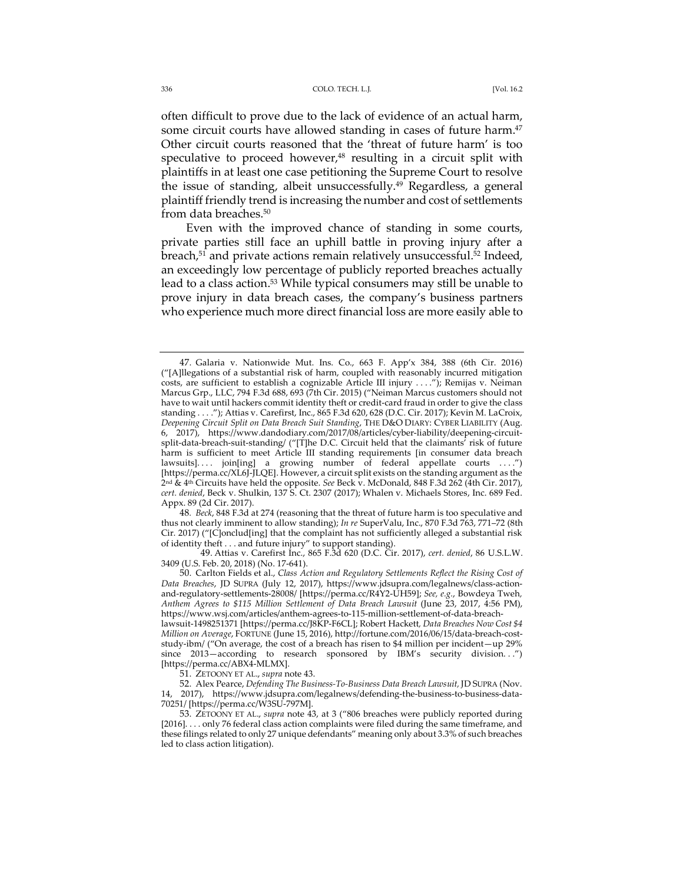#### 336 COLO. TECH. L.J. [Vol. 16.2

often difficult to prove due to the lack of evidence of an actual harm, some circuit courts have allowed standing in cases of future harm.<sup>47</sup> Other circuit courts reasoned that the 'threat of future harm' is too speculative to proceed however, $48$  resulting in a circuit split with plaintiffs in at least one case petitioning the Supreme Court to resolve the issue of standing, albeit unsuccessfully.<sup>49</sup> Regardless, a general plaintiff friendly trend is increasing the number and cost of settlements from data breaches.<sup>50</sup>

Even with the improved chance of standing in some courts, private parties still face an uphill battle in proving injury after a breach, $51$  and private actions remain relatively unsuccessful. $52$  Indeed, an exceedingly low percentage of publicly reported breaches actually lead to a class action.<sup>53</sup> While typical consumers may still be unable to prove injury in data breach cases, the company's business partners who experience much more direct financial loss are more easily able to

48*. Beck*, 848 F.3d at 274 (reasoning that the threat of future harm is too speculative and thus not clearly imminent to allow standing); *In re* SuperValu, Inc., 870 F.3d 763, 771–72 (8th Cir. 2017) ("[C]onclud[ing] that the complaint has not sufficiently alleged a substantial risk of identity theft . . . and future injury" to support standing).

 49. Attias v. Carefirst Inc., 865 F.3d 620 (D.C. Cir. 2017), *cert. denied*, 86 U.S.L.W. 3409 (U.S. Feb. 20, 2018) (No. 17-641).

50. Carlton Fields et al., *Class Action and Regulatory Settlements Reflect the Rising Cost of Data Breaches*, JD SUPRA (July 12, 2017), https://www.jdsupra.com/legalnews/class-actionand-regulatory-settlements-28008/ [https://perma.cc/R4Y2-UH59]; *See, e.g.*, Bowdeya Tweh*, Anthem Agrees to \$115 Million Settlement of Data Breach Lawsuit* (June 23, 2017, 4:56 PM), https://www.wsj.com/articles/anthem-agrees-to-115-million-settlement-of-data-breach-

lawsuit-1498251371 [https://perma.cc/J8KP-F6CL]; Robert Hackett*, Data Breaches Now Cost \$4 Million on Average*, FORTUNE (June 15, 2016), http://fortune.com/2016/06/15/data-breach-coststudy-ibm/ ("On average, the cost of a breach has risen to \$4 million per incident—up 29% since 2013–according to research sponsored by IBM's security division. ..") [https://perma.cc/ABX4-MLMX].

51. ZETOONY ET AL., *supra* note 43.

52. Alex Pearce, *Defending The Business-To-Business Data Breach Lawsuit,* JD SUPRA (Nov. 14, 2017), https://www.jdsupra.com/legalnews/defending-the-business-to-business-data-70251/ [https://perma.cc/W3SU-797M].

53. ZETOONY ET AL., *supra* note 43, at 3 ("806 breaches were publicly reported during [2016]. . . . only 76 federal class action complaints were filed during the same timeframe, and these filings related to only 27 unique defendants" meaning only about 3.3% of such breaches led to class action litigation).

<sup>47.</sup> Galaria v. Nationwide Mut. Ins. Co., 663 F. App'x 384, 388 (6th Cir. 2016) ("[A]llegations of a substantial risk of harm, coupled with reasonably incurred mitigation costs, are sufficient to establish a cognizable Article III injury . . . ."); Remijas v. Neiman Marcus Grp., LLC, 794 F.3d 688, 693 (7th Cir. 2015) ("Neiman Marcus customers should not have to wait until hackers commit identity theft or credit-card fraud in order to give the class standing . . . ."); Attias v. Carefirst, Inc., 865 F.3d 620, 628 (D.C. Cir. 2017); Kevin M. LaCroix, *Deepening Circuit Split on Data Breach Suit Standing*, THE D&O DIARY: CYBER LIABILITY (Aug. 6, 2017), https://www.dandodiary.com/2017/08/articles/cyber-liability/deepening-circuitsplit-data-breach-suit-standing/ ("[T]he D.C. Circuit held that the claimants' risk of future harm is sufficient to meet Article III standing requirements [in consumer data breach lawsuits].... join[ing] a growing number of federal appellate courts ....") [https://perma.cc/XL6J-JLQE]. However, a circuit split exists on the standing argument as the 2nd & 4th Circuits have held the opposite. *See* Beck v. McDonald, 848 F.3d 262 (4th Cir. 2017), *cert. denied*, Beck v. Shulkin, 137 S. Ct. 2307 (2017); Whalen v. Michaels Stores, Inc. 689 Fed. Appx. 89 (2d Cir. 2017).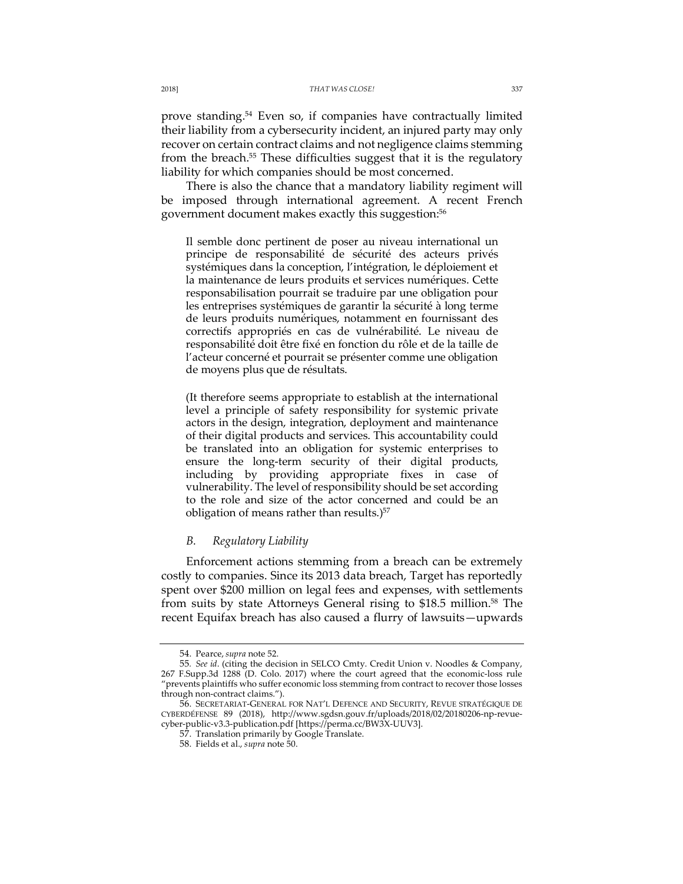prove standing.<sup>54</sup> Even so, if companies have contractually limited their liability from a cybersecurity incident, an injured party may only recover on certain contract claims and not negligence claims stemming from the breach. <sup>55</sup> These difficulties suggest that it is the regulatory liability for which companies should be most concerned.

There is also the chance that a mandatory liability regiment will be imposed through international agreement. A recent French government document makes exactly this suggestion:<sup>56</sup>

Il semble donc pertinent de poser au niveau international un principe de responsabilité de sécurité des acteurs privés systémiques dans la conception, l'intégration, le déploiement et la maintenance de leurs produits et services numériques. Cette responsabilisation pourrait se traduire par une obligation pour les entreprises systémiques de garantir la sécurité à long terme de leurs produits numériques, notamment en fournissant des correctifs appropriés en cas de vulnérabilité. Le niveau de responsabilité doit être fixé en fonction du rôle et de la taille de l'acteur concerné et pourrait se présenter comme une obligation de moyens plus que de résultats.

(It therefore seems appropriate to establish at the international level a principle of safety responsibility for systemic private actors in the design, integration, deployment and maintenance of their digital products and services. This accountability could be translated into an obligation for systemic enterprises to ensure the long-term security of their digital products, including by providing appropriate fixes in case of vulnerability. The level of responsibility should be set according to the role and size of the actor concerned and could be an obligation of means rather than results.)<sup>57</sup>

### *B. Regulatory Liability*

Enforcement actions stemming from a breach can be extremely costly to companies. Since its 2013 data breach, Target has reportedly spent over \$200 million on legal fees and expenses, with settlements from suits by state Attorneys General rising to \$18.5 million.<sup>58</sup> The recent Equifax breach has also caused a flurry of lawsuits—upwards

<sup>54.</sup> Pearce, *supra* note 52.

<sup>55</sup>*. See id*. (citing the decision in SELCO Cmty. Credit Union v. Noodles & Company, 267 F.Supp.3d 1288 (D. Colo. 2017) where the court agreed that the economic-loss rule "prevents plaintiffs who suffer economic loss stemming from contract to recover those losses through non-contract claims.").

<sup>56.</sup> SECRETARIAT-GENERAL FOR NAT'L DEFENCE AND SECURITY, REVUE STRATÉGIQUE DE CYBERDÉFENSE 89 (2018), http://www.sgdsn.gouv.fr/uploads/2018/02/20180206-np-revuecyber-public-v3.3-publication.pdf [https://perma.cc/BW3X-UUV3].

<sup>57.</sup> Translation primarily by Google Translate.

<sup>58.</sup> Fields et al., *supra* note 50.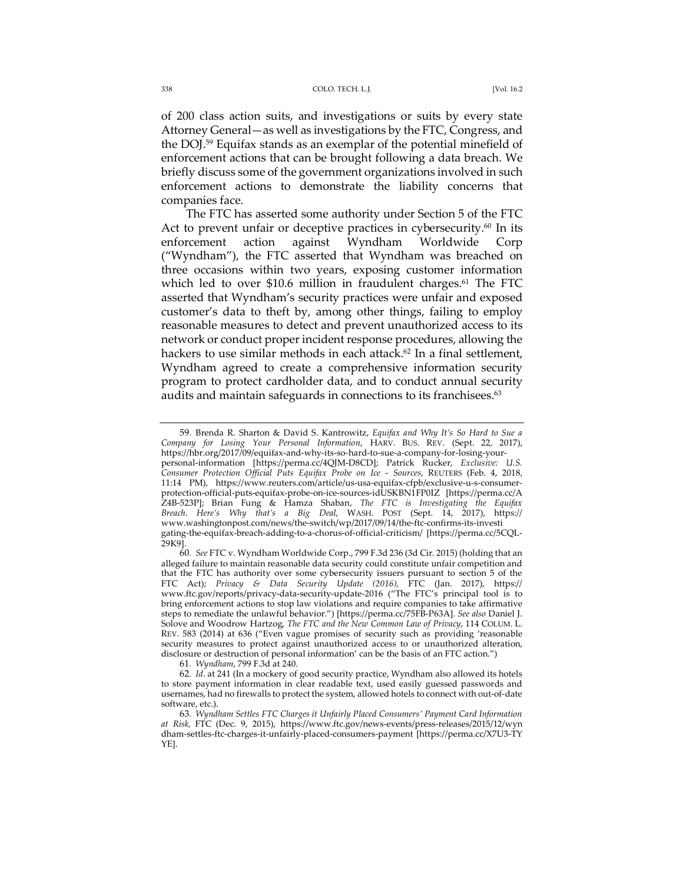of 200 class action suits, and investigations or suits by every state Attorney General—as well as investigations by the FTC, Congress, and the DOJ.59 Equifax stands as an exemplar of the potential minefield of enforcement actions that can be brought following a data breach. We briefly discuss some of the government organizations involved in such enforcement actions to demonstrate the liability concerns that companies face.

The FTC has asserted some authority under Section 5 of the FTC Act to prevent unfair or deceptive practices in cybersecurity.<sup>60</sup> In its enforcement action against Wyndham Worldwide Corp ("Wyndham"), the FTC asserted that Wyndham was breached on three occasions within two years, exposing customer information which led to over \$10.6 million in fraudulent charges.<sup>61</sup> The FTC asserted that Wyndham's security practices were unfair and exposed customer's data to theft by, among other things, failing to employ reasonable measures to detect and prevent unauthorized access to its network or conduct proper incident response procedures, allowing the hackers to use similar methods in each attack.<sup>62</sup> In a final settlement, Wyndham agreed to create a comprehensive information security program to protect cardholder data, and to conduct annual security audits and maintain safeguards in connections to its franchisees.<sup>63</sup>

61*. Wyndham*, 799 F.3d at 240.

<sup>59.</sup> Brenda R. Sharton & David S. Kantrowitz, *Equifax and Why It's So Hard to Sue a Company for Losing Your Personal Information*, HARV. BUS. REV. (Sept. 22, 2017), https://hbr.org/2017/09/equifax-and-why-its-so-hard-to-sue-a-company-for-losing-yourpersonal-information [https://perma.cc/4QJM-D8CD]; Patrick Rucker, *Exclusive: U.S. Consumer Protection Official Puts Equifax Probe on Ice* - *Sources*, REUTERS (Feb. 4, 2018, 11:14 PM), https://www.reuters.com/article/us-usa-equifax-cfpb/exclusive-u-s-consumerprotection-official-puts-equifax-probe-on-ice-sources-idUSKBN1FP0IZ [https://perma.cc/A Z4B-523P]; Brian Fung & Hamza Shaban, *The FTC is Investigating the Equifax Breach*. *Here's Why that's a Big Deal*, WASH. POST (Sept. 14, 2017), https:// www.washingtonpost.com/news/the-switch/wp/2017/09/14/the-ftc-confirms-its-investi gating-the-equifax-breach-adding-to-a-chorus-of-official-criticism/ [https://perma.cc/5CQL-29K9].

<sup>60</sup>*. See* FTC v. Wyndham Worldwide Corp., 799 F.3d 236 (3d Cir. 2015) (holding that an alleged failure to maintain reasonable data security could constitute unfair competition and that the FTC has authority over some cybersecurity issuers pursuant to section 5 of the FTC Act); *Privacy & Data Security Update (2016),* FTC (Jan. 2017), https:// www.ftc.gov/reports/privacy-data-security-update-2016 ("The FTC's principal tool is to bring enforcement actions to stop law violations and require companies to take affirmative steps to remediate the unlawful behavior.") [https://perma.cc/75FB-P63A]. *See also* Daniel J. Solove and Woodrow Hartzog, *The FTC and the New Common Law of Privacy*, 114 COLUM. L. REV. 583 (2014) at 636 ("Even vague promises of security such as providing 'reasonable security measures to protect against unauthorized access to or unauthorized alteration, disclosure or destruction of personal information' can be the basis of an FTC action.")

<sup>62</sup>*. Id*. at 241 (In a mockery of good security practice, Wyndham also allowed its hotels to store payment information in clear readable text, used easily guessed passwords and usernames, had no firewalls to protect the system, allowed hotels to connect with out-of-date software, etc.).

<sup>63</sup>*. Wyndham Settles FTC Charges it Unfairly Placed Consumers' Payment Card Information at Risk,* FTC (Dec. 9, 2015), https://www.ftc.gov/news-events/press-releases/2015/12/wyn dham-settles-ftc-charges-it-unfairly-placed-consumers-payment [https://perma.cc/X7U3-TY YE].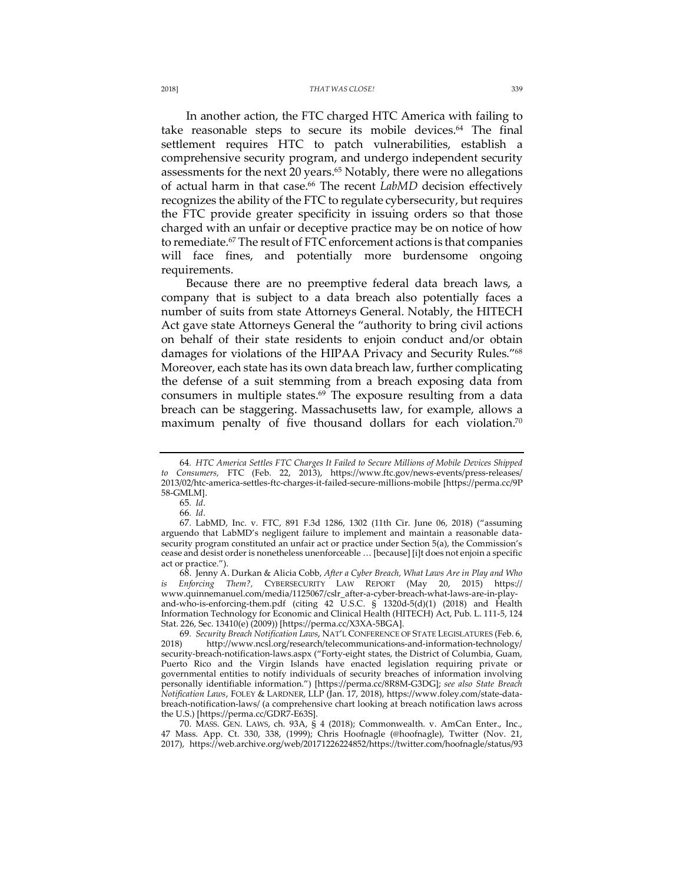In another action, the FTC charged HTC America with failing to take reasonable steps to secure its mobile devices.<sup>64</sup> The final settlement requires HTC to patch vulnerabilities, establish a comprehensive security program, and undergo independent security assessments for the next 20 years.<sup>65</sup> Notably, there were no allegations of actual harm in that case.<sup>66</sup> The recent *LabMD* decision effectively recognizes the ability of the FTC to regulate cybersecurity, but requires the FTC provide greater specificity in issuing orders so that those charged with an unfair or deceptive practice may be on notice of how to remediate.<sup>67</sup> The result of FTC enforcement actions is that companies will face fines, and potentially more burdensome ongoing requirements.

Because there are no preemptive federal data breach laws, a company that is subject to a data breach also potentially faces a number of suits from state Attorneys General. Notably, the HITECH Act gave state Attorneys General the "authority to bring civil actions on behalf of their state residents to enjoin conduct and/or obtain damages for violations of the HIPAA Privacy and Security Rules."68 Moreover, each state has its own data breach law, further complicating the defense of a suit stemming from a breach exposing data from consumers in multiple states. <sup>69</sup> The exposure resulting from a data breach can be staggering. Massachusetts law, for example, allows a maximum penalty of five thousand dollars for each violation.70

<sup>64</sup>*. HTC America Settles FTC Charges It Failed to Secure Millions of Mobile Devices Shipped to Consumers,* FTC (Feb. 22, 2013), https://www.ftc.gov/news-events/press-releases/ 2013/02/htc-america-settles-ftc-charges-it-failed-secure-millions-mobile [https://perma.cc/9P 58-GMLM].

<sup>65</sup>*. Id*.

<sup>66</sup>*. Id*.

<sup>67</sup>*.* LabMD, Inc. v. FTC, 891 F.3d 1286, 1302 (11th Cir. June 06, 2018) ("assuming arguendo that LabMD's negligent failure to implement and maintain a reasonable datasecurity program constituted an unfair act or practice under Section 5(a), the Commission's cease and desist order is nonetheless unenforceable … [because] [i]t does not enjoin a specific act or practice.").

<sup>68.</sup> Jenny A. Durkan & Alicia Cobb, *After a Cyber Breach, What Laws Are in Play and Who is Enforcing Them?,* CYBERSECURITY LAW REPORT (May 20, 2015) https:// www.quinnemanuel.com/media/1125067/cslr\_after-a-cyber-breach-what-laws-are-in-playand-who-is-enforcing-them.pdf (citing 42 U.S.C. § 1320d-5(d)(1) (2018) and Health Information Technology for Economic and Clinical Health (HITECH) Act, Pub. L. 111-5, 124 Stat. 226, Sec. 13410(e) (2009)) [https://perma.cc/X3XA-5BGA].

<sup>69</sup>*. Security Breach Notification Laws*, NAT'L CONFERENCE OF STATE LEGISLATURES (Feb. 6, 2018) http://www.ncsl.org/research/telecommunications-and-information-technology/ security-breach-notification-laws.aspx ("Forty-eight states, the District of Columbia, Guam, Puerto Rico and the Virgin Islands have enacted legislation requiring private or governmental entities to notify individuals of security breaches of information involving personally identifiable information.") [https://perma.cc/8R8M-G3DG]; *see also State Breach Notification Laws*, FOLEY & LARDNER, LLP (Jan. 17, 2018), https://www.foley.com/state-databreach-notification-laws/ (a comprehensive chart looking at breach notification laws across the U.S.) [https://perma.cc/GDR7-E63S].

<sup>70.</sup> MASS. GEN. LAWS, ch. 93A, § 4 (2018); Commonwealth. v. AmCan Enter., Inc., 47 Mass. App. Ct. 330, 338, (1999); Chris Hoofnagle (@hoofnagle), Twitter (Nov. 21, 2017), https://web.archive.org/web/20171226224852/https://twitter.com/hoofnagle/status/93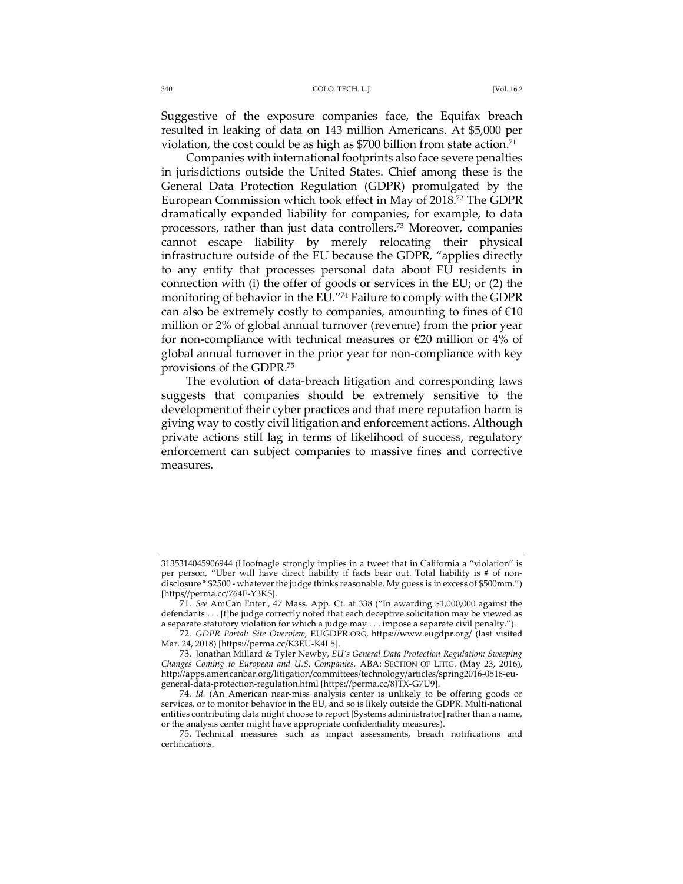Suggestive of the exposure companies face, the Equifax breach resulted in leaking of data on 143 million Americans. At \$5,000 per violation, the cost could be as high as \$700 billion from state action.<sup>71</sup>

Companies with international footprints also face severe penalties in jurisdictions outside the United States. Chief among these is the General Data Protection Regulation (GDPR) promulgated by the European Commission which took effect in May of 2018.72 The GDPR dramatically expanded liability for companies, for example, to data processors, rather than just data controllers.73 Moreover, companies cannot escape liability by merely relocating their physical infrastructure outside of the EU because the GDPR, "applies directly to any entity that processes personal data about EU residents in connection with (i) the offer of goods or services in the EU; or (2) the monitoring of behavior in the EU."74 Failure to comply with the GDPR can also be extremely costly to companies, amounting to fines of  $\epsilon$ 10 million or 2% of global annual turnover (revenue) from the prior year for non-compliance with technical measures or €20 million or 4% of global annual turnover in the prior year for non-compliance with key provisions of the GDPR.75

The evolution of data-breach litigation and corresponding laws suggests that companies should be extremely sensitive to the development of their cyber practices and that mere reputation harm is giving way to costly civil litigation and enforcement actions. Although private actions still lag in terms of likelihood of success, regulatory enforcement can subject companies to massive fines and corrective measures.

<sup>3135314045906944</sup> (Hoofnagle strongly implies in a tweet that in California a "violation" is per person, "Uber will have direct liability if facts bear out. Total liability is # of nondisclosure \* \$2500 - whatever the judge thinks reasonable. My guess is in excess of \$500mm.") [https//perma.cc/764E-Y3KS].

<sup>71</sup>*. See* AmCan Enter., 47 Mass. App. Ct. at 338 ("In awarding \$1,000,000 against the defendants . . . [t]he judge correctly noted that each deceptive solicitation may be viewed as a separate statutory violation for which a judge may . . . impose a separate civil penalty.").

<sup>72</sup>*. GDPR Portal: Site Overview*, EUGDPR.ORG, https://www.eugdpr.org/ (last visited Mar. 24, 2018) [https://perma.cc/K3EU-K4L5].

<sup>73.</sup> Jonathan Millard & Tyler Newby, *EU's General Data Protection Regulation: Sweeping Changes Coming to European and U.S. Companies,* ABA: SECTION OF LITIG. (May 23, 2016), http://apps.americanbar.org/litigation/committees/technology/articles/spring2016-0516-eugeneral-data-protection-regulation.html [https://perma.cc/8JTX-G7U9].

<sup>74</sup>*. Id.* (An American near-miss analysis center is unlikely to be offering goods or services, or to monitor behavior in the EU, and so is likely outside the GDPR. Multi-national entities contributing data might choose to report [Systems administrator] rather than a name, or the analysis center might have appropriate confidentiality measures).

<sup>75.</sup> Technical measures such as impact assessments, breach notifications and certifications.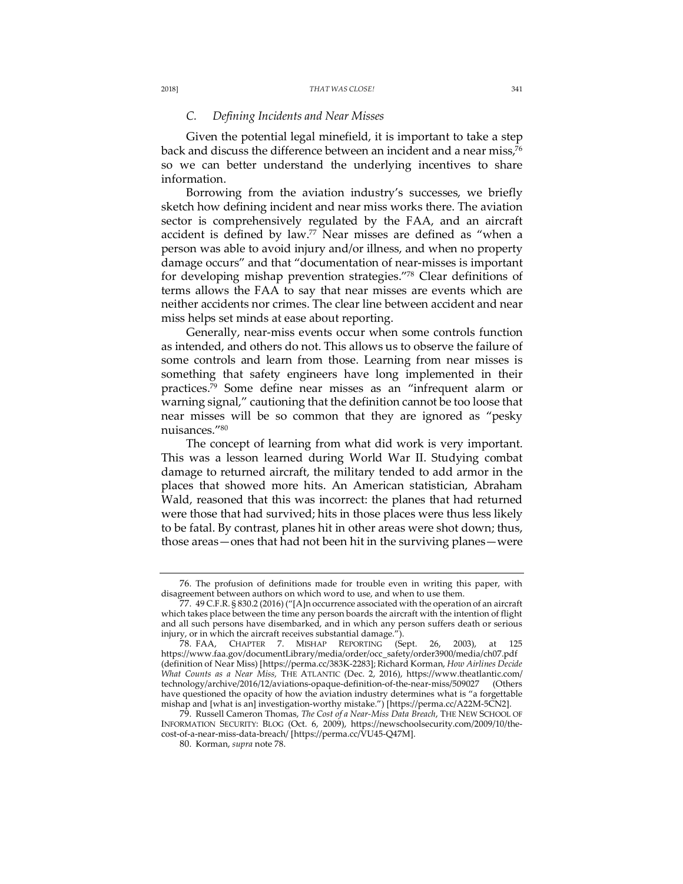### *C. Defining Incidents and Near Misses*

Given the potential legal minefield, it is important to take a step back and discuss the difference between an incident and a near miss,<sup>76</sup> so we can better understand the underlying incentives to share information.

Borrowing from the aviation industry's successes, we briefly sketch how defining incident and near miss works there. The aviation sector is comprehensively regulated by the FAA, and an aircraft accident is defined by law.77 Near misses are defined as "when a person was able to avoid injury and/or illness, and when no property damage occurs" and that "documentation of near-misses is important for developing mishap prevention strategies."78 Clear definitions of terms allows the FAA to say that near misses are events which are neither accidents nor crimes. The clear line between accident and near miss helps set minds at ease about reporting.

Generally, near-miss events occur when some controls function as intended, and others do not. This allows us to observe the failure of some controls and learn from those. Learning from near misses is something that safety engineers have long implemented in their practices.79 Some define near misses as an "infrequent alarm or warning signal," cautioning that the definition cannot be too loose that near misses will be so common that they are ignored as "pesky nuisances."80

The concept of learning from what did work is very important. This was a lesson learned during World War II. Studying combat damage to returned aircraft, the military tended to add armor in the places that showed more hits. An American statistician, Abraham Wald, reasoned that this was incorrect: the planes that had returned were those that had survived; hits in those places were thus less likely to be fatal. By contrast, planes hit in other areas were shot down; thus, those areas—ones that had not been hit in the surviving planes—were

<sup>76.</sup> The profusion of definitions made for trouble even in writing this paper, with disagreement between authors on which word to use, and when to use them.

<sup>77.</sup> 49 C.F.R. § 830.2 (2016) ("[A]n occurrence associated with the operation of an aircraft which takes place between the time any person boards the aircraft with the intention of flight and all such persons have disembarked, and in which any person suffers death or serious injury, or in which the aircraft receives substantial damage.").

<sup>78.</sup> FAA, CHAPTER 7. MISHAP REPORTING (Sept. 26, 2003), at 125 https://www.faa.gov/documentLibrary/media/order/occ\_safety/order3900/media/ch07.pdf (definition of Near Miss) [https://perma.cc/383K-2283]; Richard Korman, *How Airlines Decide What Counts as a Near Miss,* THE ATLANTIC (Dec. 2, 2016), https://www.theatlantic.com/ technology/archive/2016/12/aviations-opaque-definition-of-the-near-miss/509027 (Others have questioned the opacity of how the aviation industry determines what is "a forgettable mishap and [what is an] investigation-worthy mistake.") [https://perma.cc/A22M-5CN2].

<sup>79.</sup> Russell Cameron Thomas, *The Cost of a Near-Miss Data Breach*, THE NEW SCHOOL OF INFORMATION SECURITY: BLOG (Oct. 6, 2009), https://newschoolsecurity.com/2009/10/thecost-of-a-near-miss-data-breach/ [https://perma.cc/VU45-Q47M].

<sup>80.</sup> Korman, *supra* note 78.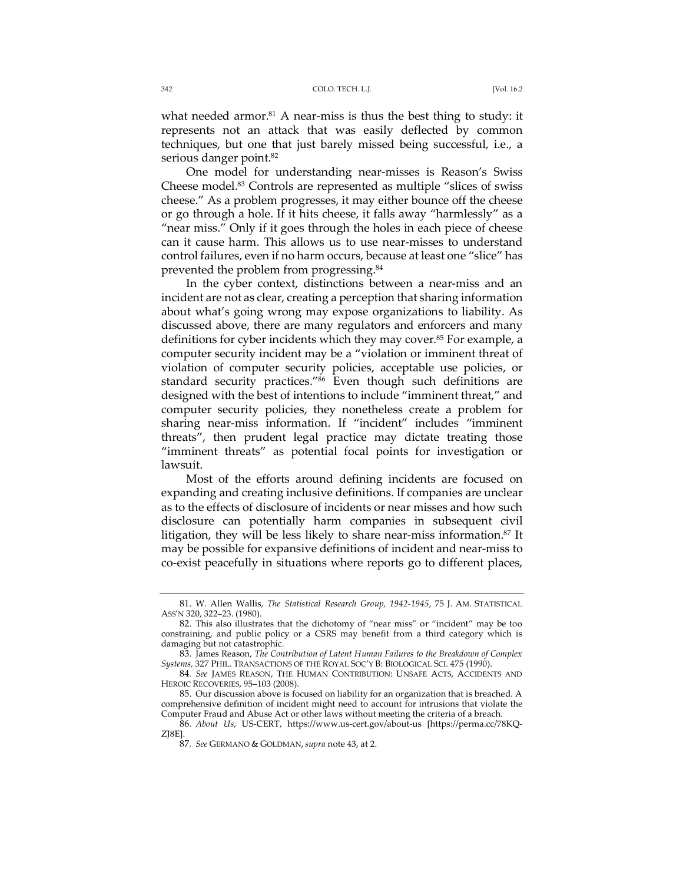what needed armor. $81$  A near-miss is thus the best thing to study: it represents not an attack that was easily deflected by common techniques, but one that just barely missed being successful, i.e., a serious danger point.<sup>82</sup>

One model for understanding near-misses is Reason's Swiss Cheese model.83 Controls are represented as multiple "slices of swiss cheese." As a problem progresses, it may either bounce off the cheese or go through a hole. If it hits cheese, it falls away "harmlessly" as a "near miss." Only if it goes through the holes in each piece of cheese can it cause harm. This allows us to use near-misses to understand control failures, even if no harm occurs, because at least one "slice" has prevented the problem from progressing.84

In the cyber context, distinctions between a near-miss and an incident are not as clear, creating a perception that sharing information about what's going wrong may expose organizations to liability. As discussed above, there are many regulators and enforcers and many definitions for cyber incidents which they may cover.<sup>85</sup> For example, a computer security incident may be a "violation or imminent threat of violation of computer security policies, acceptable use policies, or standard security practices."<sup>86</sup> Even though such definitions are designed with the best of intentions to include "imminent threat," and computer security policies, they nonetheless create a problem for sharing near-miss information. If "incident" includes "imminent threats", then prudent legal practice may dictate treating those "imminent threats" as potential focal points for investigation or lawsuit.

Most of the efforts around defining incidents are focused on expanding and creating inclusive definitions. If companies are unclear as to the effects of disclosure of incidents or near misses and how such disclosure can potentially harm companies in subsequent civil litigation, they will be less likely to share near-miss information.<sup>87</sup> It may be possible for expansive definitions of incident and near-miss to co-exist peacefully in situations where reports go to different places,

<sup>81.</sup> W. Allen Wallis, *The Statistical Research Group, 1942-1945*, 75 J. AM. STATISTICAL ASS'N 320, 322–23. (1980).

<sup>82.</sup> This also illustrates that the dichotomy of "near miss" or "incident" may be too constraining, and public policy or a CSRS may benefit from a third category which is damaging but not catastrophic.

<sup>83.</sup> James Reason, *The Contribution of Latent Human Failures to the Breakdown of Complex Systems,* 327 PHIL. TRANSACTIONS OF THE ROYAL SOC'Y B: BIOLOGICAL SCI. 475 (1990).

<sup>84</sup>*. See* JAMES REASON, THE HUMAN CONTRIBUTION: UNSAFE ACTS, ACCIDENTS AND HEROIC RECOVERIES, 95–103 (2008).

<sup>85.</sup> Our discussion above is focused on liability for an organization that is breached. A comprehensive definition of incident might need to account for intrusions that violate the Computer Fraud and Abuse Act or other laws without meeting the criteria of a breach.

<sup>86</sup>*. About Us*, US-CERT, https://www.us-cert.gov/about-us [https://perma.cc/78KQ-ZJ8E].

<sup>87</sup>*. See* GERMANO & GOLDMAN, *supra* note 43, at 2.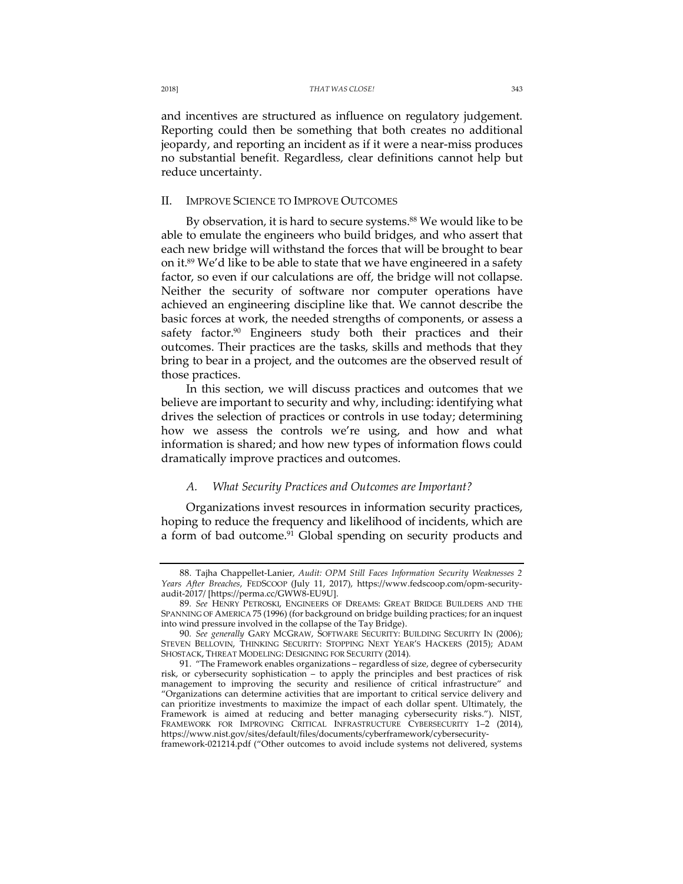and incentives are structured as influence on regulatory judgement. Reporting could then be something that both creates no additional jeopardy, and reporting an incident as if it were a near-miss produces no substantial benefit. Regardless, clear definitions cannot help but reduce uncertainty.

## II. IMPROVE SCIENCE TO IMPROVE OUTCOMES

By observation, it is hard to secure systems.<sup>88</sup> We would like to be able to emulate the engineers who build bridges, and who assert that each new bridge will withstand the forces that will be brought to bear on it.<sup>89</sup> We'd like to be able to state that we have engineered in a safety factor, so even if our calculations are off, the bridge will not collapse. Neither the security of software nor computer operations have achieved an engineering discipline like that. We cannot describe the basic forces at work, the needed strengths of components, or assess a safety factor.<sup>90</sup> Engineers study both their practices and their outcomes. Their practices are the tasks, skills and methods that they bring to bear in a project, and the outcomes are the observed result of those practices.

In this section, we will discuss practices and outcomes that we believe are important to security and why, including: identifying what drives the selection of practices or controls in use today; determining how we assess the controls we're using, and how and what information is shared; and how new types of information flows could dramatically improve practices and outcomes.

## *A. What Security Practices and Outcomes are Important?*

Organizations invest resources in information security practices, hoping to reduce the frequency and likelihood of incidents, which are a form of bad outcome.<sup>91</sup> Global spending on security products and

<sup>88.</sup> Tajha Chappellet-Lanier, *Audit: OPM Still Faces Information Security Weaknesses 2 Years After Breaches*, FEDSCOOP (July 11, 2017), https://www.fedscoop.com/opm-securityaudit-2017/ [https://perma.cc/GWW8-EU9U].

<sup>89</sup>*. See* HENRY PETROSKI, ENGINEERS OF DREAMS: GREAT BRIDGE BUILDERS AND THE SPANNING OF AMERICA 75 (1996) (for background on bridge building practices; for an inquest into wind pressure involved in the collapse of the Tay Bridge).

<sup>90</sup>*. See generally* GARY MCGRAW, SOFTWARE SECURITY: BUILDING SECURITY IN (2006); STEVEN BELLOVIN, THINKING SECURITY: STOPPING NEXT YEAR'S HACKERS (2015); ADAM SHOSTACK, THREAT MODELING: DESIGNING FOR SECURITY (2014)*.*

<sup>91.</sup> "The Framework enables organizations – regardless of size, degree of cybersecurity risk, or cybersecurity sophistication – to apply the principles and best practices of risk management to improving the security and resilience of critical infrastructure" and "Organizations can determine activities that are important to critical service delivery and can prioritize investments to maximize the impact of each dollar spent. Ultimately, the Framework is aimed at reducing and better managing cybersecurity risks."). NIST, FRAMEWORK FOR IMPROVING CRITICAL INFRASTRUCTURE CYBERSECURITY 1-2 (2014), https://www.nist.gov/sites/default/files/documents/cyberframework/cybersecurityframework-021214.pdf ("Other outcomes to avoid include systems not delivered, systems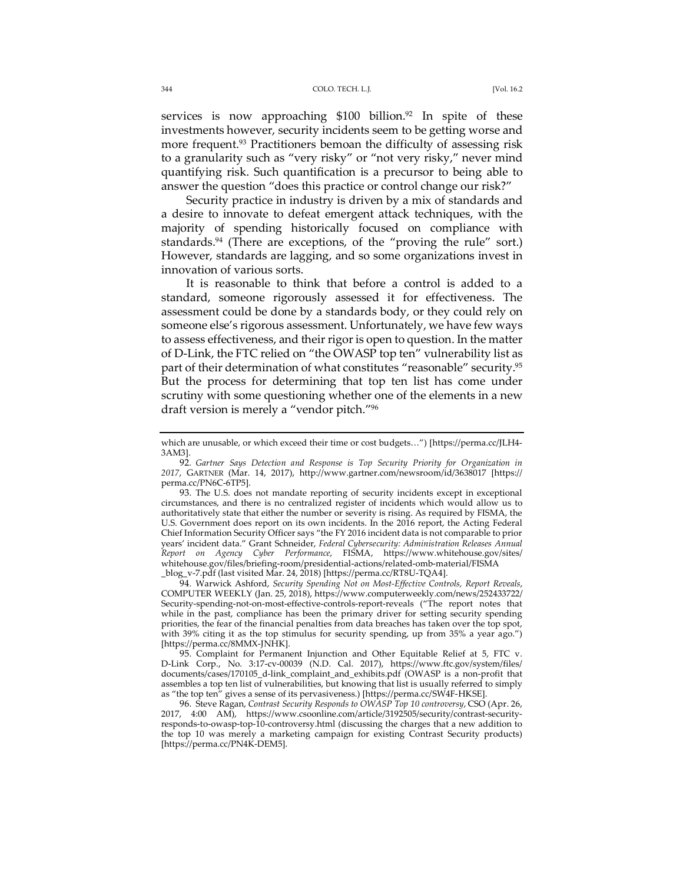services is now approaching  $$100$  billion.<sup>92</sup> In spite of these investments however, security incidents seem to be getting worse and more frequent.<sup>93</sup> Practitioners bemoan the difficulty of assessing risk to a granularity such as "very risky" or "not very risky," never mind quantifying risk. Such quantification is a precursor to being able to answer the question "does this practice or control change our risk?"

Security practice in industry is driven by a mix of standards and a desire to innovate to defeat emergent attack techniques, with the majority of spending historically focused on compliance with standards.<sup>94</sup> (There are exceptions, of the "proving the rule" sort.) However, standards are lagging, and so some organizations invest in innovation of various sorts.

It is reasonable to think that before a control is added to a standard, someone rigorously assessed it for effectiveness. The assessment could be done by a standards body, or they could rely on someone else's rigorous assessment. Unfortunately, we have few ways to assess effectiveness, and their rigor is open to question. In the matter of D-Link, the FTC relied on "the OWASP top ten" vulnerability list as part of their determination of what constitutes "reasonable" security.95 But the process for determining that top ten list has come under scrutiny with some questioning whether one of the elements in a new draft version is merely a "vendor pitch."96

94. Warwick Ashford, *Security Spending Not on Most-Effective Controls, Report Reveals*, COMPUTER WEEKLY (Jan. 25, 2018), https://www.computerweekly.com/news/252433722/ Security-spending-not-on-most-effective-controls-report-reveals ("The report notes that while in the past, compliance has been the primary driver for setting security spending priorities, the fear of the financial penalties from data breaches has taken over the top spot, with 39% citing it as the top stimulus for security spending, up from 35% a year ago.") [https://perma.cc/8MMX-JNHK].

95. Complaint for Permanent Injunction and Other Equitable Relief at 5, FTC v. D-Link Corp., No. 3:17-cv-00039 (N.D. Cal. 2017), https://www.ftc.gov/system/files/ documents/cases/170105\_d-link\_complaint\_and\_exhibits.pdf (OWASP is a non-profit that assembles a top ten list of vulnerabilities, but knowing that list is usually referred to simply as "the top ten" gives a sense of its pervasiveness.) [https://perma.cc/SW4F-HKSE].

96. Steve Ragan, *Contrast Security Responds to OWASP Top 10 controversy*, CSO (Apr. 26, 2017, 4:00 AM), https://www.csoonline.com/article/3192505/security/contrast-securityresponds-to-owasp-top-10-controversy.html (discussing the charges that a new addition to the top 10 was merely a marketing campaign for existing Contrast Security products) [https://perma.cc/PN4K-DEM5].

which are unusable, or which exceed their time or cost budgets…") [https://perma.cc/JLH4- 3AM3].

<sup>92</sup>*. Gartner Says Detection and Response is Top Security Priority for Organization in 2017*, GARTNER (Mar. 14, 2017), http://www.gartner.com/newsroom/id/3638017 [https:// perma.cc/PN6C-6TP5].

<sup>93.</sup> The U.S. does not mandate reporting of security incidents except in exceptional circumstances, and there is no centralized register of incidents which would allow us to authoritatively state that either the number or severity is rising. As required by FISMA, the U.S. Government does report on its own incidents. In the 2016 report, the Acting Federal Chief Information Security Officer says "the FY 2016 incident data is not comparable to prior years' incident data." Grant Schneider, *Federal Cybersecurity: Administration Releases Annual Report on Agency Cyber Performance*, FISMA, https://www.whitehouse.gov/sites/ whitehouse.gov/files/briefing-room/presidential-actions/related-omb-material/FISMA \_blog\_v-7.pdf (last visited Mar. 24, 2018) [https://perma.cc/RT8U-TQA4].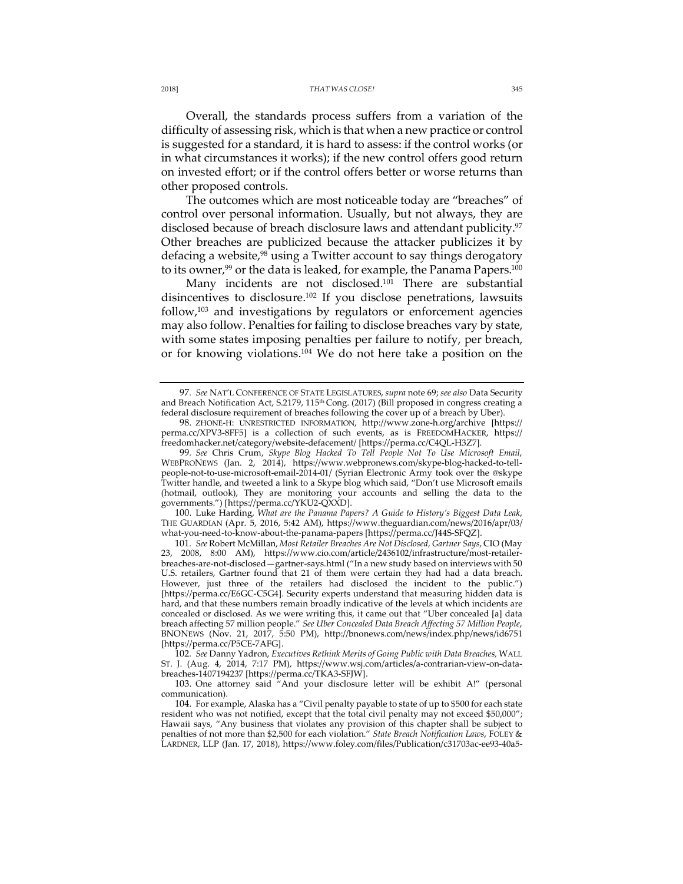Overall, the standards process suffers from a variation of the difficulty of assessing risk, which is that when a new practice or control is suggested for a standard, it is hard to assess: if the control works (or in what circumstances it works); if the new control offers good return on invested effort; or if the control offers better or worse returns than other proposed controls.

The outcomes which are most noticeable today are "breaches" of control over personal information. Usually, but not always, they are disclosed because of breach disclosure laws and attendant publicity.<sup>97</sup> Other breaches are publicized because the attacker publicizes it by defacing a website,<sup>98</sup> using a Twitter account to say things derogatory to its owner,<sup>99</sup> or the data is leaked, for example, the Panama Papers.<sup>100</sup>

Many incidents are not disclosed.<sup>101</sup> There are substantial disincentives to disclosure.102 If you disclose penetrations, lawsuits  $follow<sub>103</sub>$  and investigations by regulators or enforcement agencies may also follow. Penalties for failing to disclose breaches vary by state, with some states imposing penalties per failure to notify, per breach, or for knowing violations.104 We do not here take a position on the

100. Luke Harding, *What are the Panama Papers? A Guide to History's Biggest Data Leak*, THE GUARDIAN (Apr. 5, 2016, 5:42 AM), https://www.theguardian.com/news/2016/apr/03/ what-you-need-to-know-about-the-panama-papers [https://perma.cc/J44S-SFQZ].

101*. See* Robert McMillan, *Most Retailer Breaches Are Not Disclosed, Gartner Says*, CIO (May 23, 2008, 8:00 AM), https://www.cio.com/article/2436102/infrastructure/most-retailerbreaches-are-not-disclosed—gartner-says.html ("In a new study based on interviews with 50 U.S. retailers, Gartner found that 21 of them were certain they had had a data breach. However, just three of the retailers had disclosed the incident to the public.") [https://perma.cc/E6GC-C5G4]. Security experts understand that measuring hidden data is hard, and that these numbers remain broadly indicative of the levels at which incidents are concealed or disclosed. As we were writing this, it came out that "Uber concealed [a] data breach affecting 57 million people." *See Uber Concealed Data Breach Affecting 57 Million People*, BNONEWS (Nov. 21, 2017, 5:50 PM), http://bnonews.com/news/index.php/news/id6751 [https://perma.cc/P5CE-7AFG].

102*. See* Danny Yadron, *Executives Rethink Merits of Going Public with Data Breaches,* WALL ST. J. (Aug. 4, 2014, 7:17 PM), https://www.wsj.com/articles/a-contrarian-view-on-databreaches-1407194237 [https://perma.cc/TKA3-SFJW].

103. One attorney said "And your disclosure letter will be exhibit A!" (personal communication).

104. For example, Alaska has a "Civil penalty payable to state of up to \$500 for each state resident who was not notified, except that the total civil penalty may not exceed \$50,000"; Hawaii says, "Any business that violates any provision of this chapter shall be subject to penalties of not more than \$2,500 for each violation." *State Breach Notification Laws*, FOLEY & LARDNER, LLP (Jan. 17, 2018), https://www.foley.com/files/Publication/c31703ac-ee93-40a5-

<sup>97</sup>*. See* NAT'L CONFERENCE OF STATE LEGISLATURES, *supra* note 69; *see also* Data Security and Breach Notification Act, S.2179, 115<sup>th</sup> Cong. (2017) (Bill proposed in congress creating a federal disclosure requirement of breaches following the cover up of a breach by Uber).

<sup>98.</sup> ZHONE-H: UNRESTRICTED INFORMATION, http://www.zone-h.org/archive [https:// perma.cc/XPV3-8FF5] is a collection of such events, as is FREEDOMHACKER, https:// freedomhacker.net/category/website-defacement/ [https://perma.cc/C4QL-H3Z7].

<sup>99</sup>*. See* Chris Crum, *Skype Blog Hacked To Tell People Not To Use Microsoft Email*, WEBPRONEWS (Jan. 2, 2014), https://www.webpronews.com/skype-blog-hacked-to-tellpeople-not-to-use-microsoft-email-2014-01/ (Syrian Electronic Army took over the @skype Twitter handle, and tweeted a link to a Skype blog which said, "Don't use Microsoft emails (hotmail, outlook), They are monitoring your accounts and selling the data to the governments.") [https://perma.cc/YKU2-QXXD].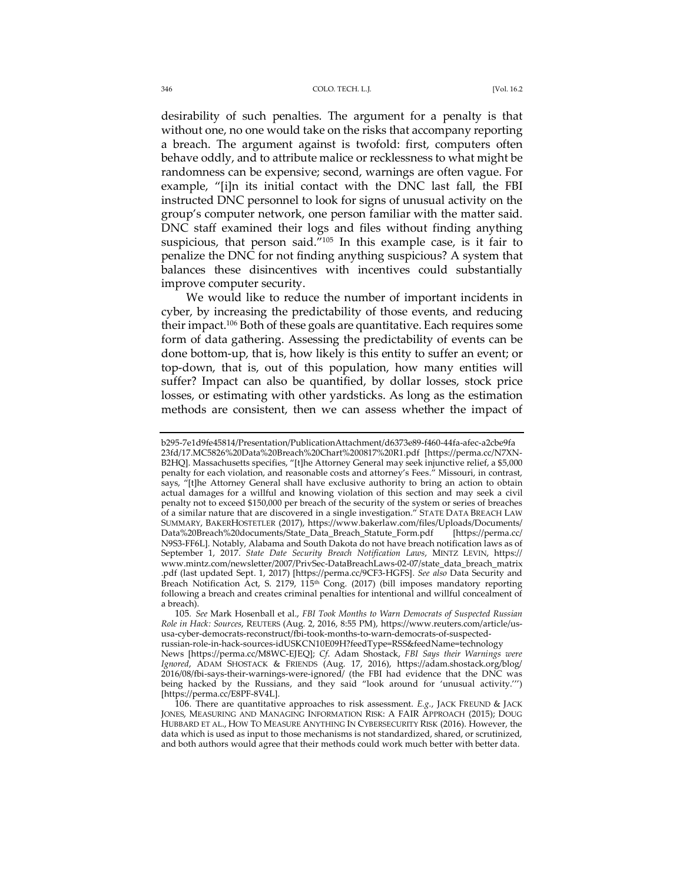#### 346 COLO. TECH. L.J. [Vol. 16.2

desirability of such penalties. The argument for a penalty is that without one, no one would take on the risks that accompany reporting a breach. The argument against is twofold: first, computers often behave oddly, and to attribute malice or recklessness to what might be randomness can be expensive; second, warnings are often vague. For example, "[i]n its initial contact with the DNC last fall, the FBI instructed DNC personnel to look for signs of unusual activity on the group's computer network, one person familiar with the matter said. DNC staff examined their logs and files without finding anything suspicious, that person said."<sup>105</sup> In this example case, is it fair to penalize the DNC for not finding anything suspicious? A system that balances these disincentives with incentives could substantially improve computer security.

We would like to reduce the number of important incidents in cyber, by increasing the predictability of those events, and reducing their impact.106 Both of these goals are quantitative. Each requires some form of data gathering. Assessing the predictability of events can be done bottom-up, that is, how likely is this entity to suffer an event; or top-down, that is, out of this population, how many entities will suffer? Impact can also be quantified, by dollar losses, stock price losses, or estimating with other yardsticks. As long as the estimation methods are consistent, then we can assess whether the impact of

b295-7e1d9fe45814/Presentation/PublicationAttachment/d6373e89-f460-44fa-afec-a2cbe9fa 23fd/17.MC5826%20Data%20Breach%20Chart%200817%20R1.pdf [https://perma.cc/N7XN-B2HQ]. Massachusetts specifies, "[t]he Attorney General may seek injunctive relief, a \$5,000 penalty for each violation, and reasonable costs and attorney's Fees." Missouri, in contrast, says, "[t]he Attorney General shall have exclusive authority to bring an action to obtain actual damages for a willful and knowing violation of this section and may seek a civil penalty not to exceed \$150,000 per breach of the security of the system or series of breaches of a similar nature that are discovered in a single investigation." STATE DATA BREACH LAW SUMMARY, BAKERHOSTETLER (2017), https://www.bakerlaw.com/files/Uploads/Documents/ Data%20Breach%20documents/State\_Data\_Breach\_Statute\_Form.pdf [https://perma.cc/ N9S3-FF6L]. Notably, Alabama and South Dakota do not have breach notification laws as of September 1, 2017. *State Date Security Breach Notification Laws*, MINTZ LEVIN, https:// www.mintz.com/newsletter/2007/PrivSec-DataBreachLaws-02-07/state\_data\_breach\_matrix .pdf (last updated Sept. 1, 2017) [https://perma.cc/9CF3-HGFS]. *See also* Data Security and Breach Notification Act, S. 2179, 115<sup>th</sup> Cong. (2017) (bill imposes mandatory reporting following a breach and creates criminal penalties for intentional and willful concealment of a breach).

<sup>105</sup>*. See* Mark Hosenball et al., *FBI Took Months to Warn Democrats of Suspected Russian Role in Hack: Sources*, REUTERS (Aug. 2, 2016, 8:55 PM), https://www.reuters.com/article/ususa-cyber-democrats-reconstruct/fbi-took-months-to-warn-democrats-of-suspected-

russian-role-in-hack-sources-idUSKCN10E09H?feedType=RSS&feedName=technology News [https://perma.cc/M8WC-EJEQ]; *Cf*. Adam Shostack, *FBI Says their Warnings were Ignored*, ADAM SHOSTACK & FRIENDS (Aug. 17, 2016), https://adam.shostack.org/blog/ 2016/08/fbi-says-their-warnings-were-ignored/ (the FBI had evidence that the DNC was being hacked by the Russians, and they said "look around for 'unusual activity.''') [https://perma.cc/E8PF-8V4L].

<sup>106.</sup> There are quantitative approaches to risk assessment. *E.g.*, JACK FREUND & JACK JONES, MEASURING AND MANAGING INFORMATION RISK: A FAIR APPROACH (2015); DOUG HUBBARD ET AL., HOW TO MEASURE ANYTHING IN CYBERSECURITY RISK (2016). However, the data which is used as input to those mechanisms is not standardized, shared, or scrutinized, and both authors would agree that their methods could work much better with better data.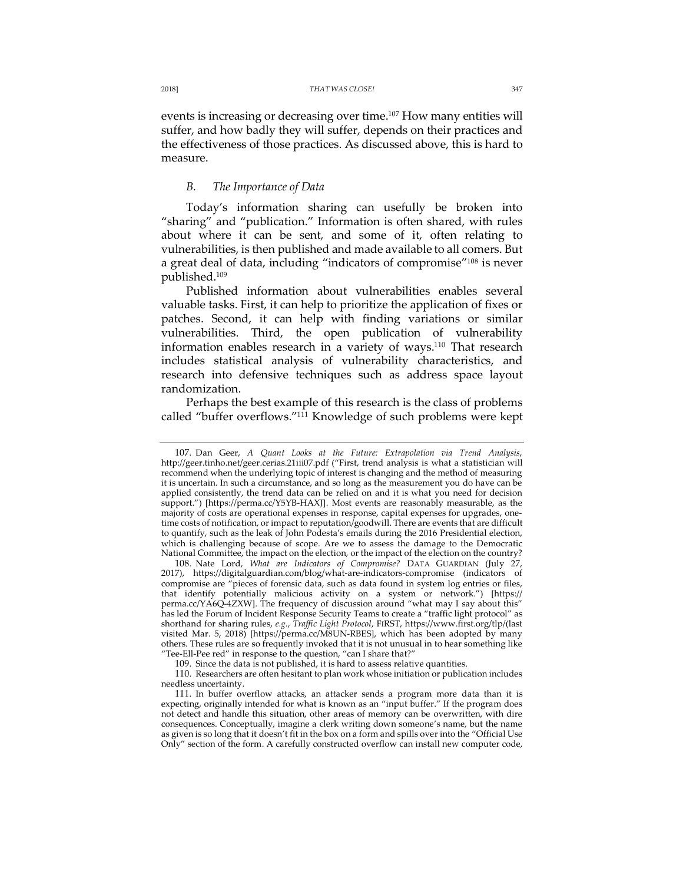events is increasing or decreasing over time.107 How many entities will suffer, and how badly they will suffer, depends on their practices and the effectiveness of those practices. As discussed above, this is hard to measure.

## *B. The Importance of Data*

Today's information sharing can usefully be broken into "sharing" and "publication." Information is often shared, with rules about where it can be sent, and some of it, often relating to vulnerabilities, is then published and made available to all comers. But a great deal of data, including "indicators of compromise"<sup>108</sup> is never published.109

Published information about vulnerabilities enables several valuable tasks. First, it can help to prioritize the application of fixes or patches. Second, it can help with finding variations or similar vulnerabilities. Third, the open publication of vulnerability information enables research in a variety of ways.110 That research includes statistical analysis of vulnerability characteristics, and research into defensive techniques such as address space layout randomization.

Perhaps the best example of this research is the class of problems called "buffer overflows."111 Knowledge of such problems were kept

<sup>107.</sup> Dan Geer, *A Quant Looks at the Future: Extrapolation via Trend Analysis*, http://geer.tinho.net/geer.cerias.21iii07.pdf ("First, trend analysis is what a statistician will recommend when the underlying topic of interest is changing and the method of measuring it is uncertain. In such a circumstance, and so long as the measurement you do have can be applied consistently, the trend data can be relied on and it is what you need for decision support.") [https://perma.cc/Y5YB-HAXJ]. Most events are reasonably measurable, as the majority of costs are operational expenses in response, capital expenses for upgrades, onetime costs of notification, or impact to reputation/goodwill. There are events that are difficult to quantify, such as the leak of John Podesta's emails during the 2016 Presidential election, which is challenging because of scope. Are we to assess the damage to the Democratic National Committee, the impact on the election, or the impact of the election on the country?

<sup>108.</sup> Nate Lord, *What are Indicators of Compromise?* DATA GUARDIAN (July 27, 2017), https://digitalguardian.com/blog/what-are-indicators-compromise (indicators of compromise are "pieces of forensic data, such as data found in system log entries or files, that identify potentially malicious activity on a system or network.") [https:// perma.cc/YA6Q-4ZXW]. The frequency of discussion around "what may I say about this" has led the Forum of Incident Response Security Teams to create a "traffic light protocol" as shorthand for sharing rules, *e.g.*, *Traffic Light Protocol*, FIRST, https://www.first.org/tlp/(last visited Mar. 5, 2018) [https://perma.cc/M8UN-RBES], which has been adopted by many others. These rules are so frequently invoked that it is not unusual in to hear something like "Tee-Ell-Pee red" in response to the question, "can I share that?"

<sup>109.</sup> Since the data is not published, it is hard to assess relative quantities.

<sup>110.</sup> Researchers are often hesitant to plan work whose initiation or publication includes needless uncertainty.

<sup>111.</sup> In buffer overflow attacks, an attacker sends a program more data than it is expecting, originally intended for what is known as an "input buffer." If the program does not detect and handle this situation, other areas of memory can be overwritten, with dire consequences. Conceptually, imagine a clerk writing down someone's name, but the name as given is so long that it doesn't fit in the box on a form and spills over into the "Official Use Only" section of the form. A carefully constructed overflow can install new computer code,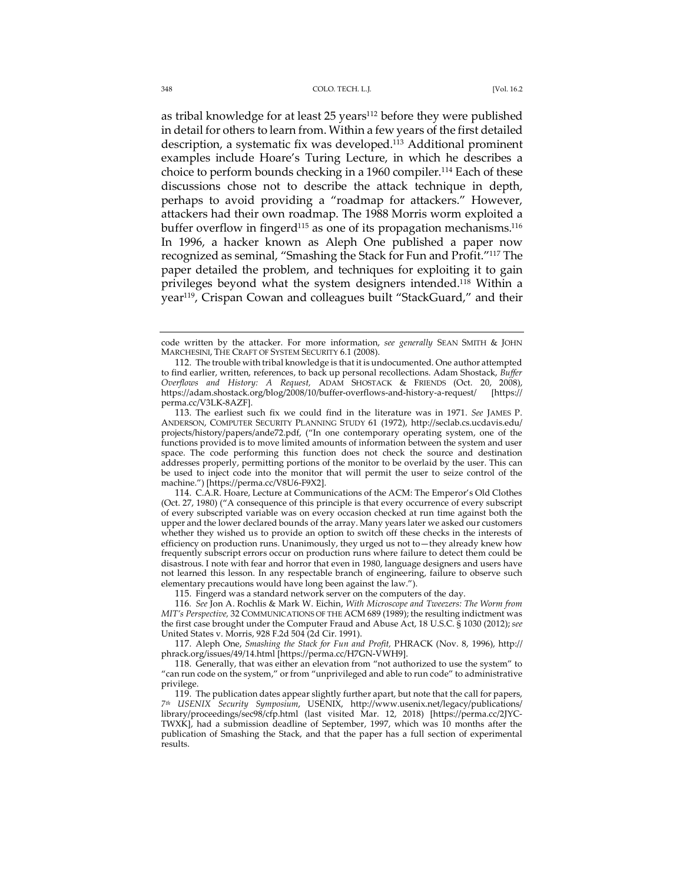as tribal knowledge for at least 25 years<sup>112</sup> before they were published in detail for others to learn from. Within a few years of the first detailed description, a systematic fix was developed.<sup>113</sup> Additional prominent examples include Hoare's Turing Lecture, in which he describes a choice to perform bounds checking in a 1960 compiler.<sup>114</sup> Each of these discussions chose not to describe the attack technique in depth, perhaps to avoid providing a "roadmap for attackers." However, attackers had their own roadmap. The 1988 Morris worm exploited a buffer overflow in fingerd<sup>115</sup> as one of its propagation mechanisms.<sup>116</sup> In 1996, a hacker known as Aleph One published a paper now recognized as seminal, "Smashing the Stack for Fun and Profit."117 The paper detailed the problem, and techniques for exploiting it to gain privileges beyond what the system designers intended.118 Within a year<sup>119</sup>, Crispan Cowan and colleagues built "StackGuard," and their

115. Fingerd was a standard network server on the computers of the day.

116*. See* Jon A. Rochlis & Mark W. Eichin, *With Microscope and Tweezers: The Worm from MIT's Perspective,* 32 COMMUNICATIONS OF THE ACM 689 (1989); the resulting indictment was the first case brought under the Computer Fraud and Abuse Act, 18 U.S.C. § 1030 (2012); *see* United States v. Morris, 928 F.2d 504 (2d Cir. 1991).

117. Aleph One, *Smashing the Stack for Fun and Profit,* PHRACK (Nov. 8, 1996), http:// phrack.org/issues/49/14.html [https://perma.cc/H7GN-VWH9].

118. Generally, that was either an elevation from "not authorized to use the system" to "can run code on the system," or from "unprivileged and able to run code" to administrative privilege.

119. The publication dates appear slightly further apart, but note that the call for papers, *7th USENIX Security Symposium*, USENIX, http://www.usenix.net/legacy/publications/ library/proceedings/sec98/cfp.html (last visited Mar. 12, 2018) [https://perma.cc/2JYC-TWXK], had a submission deadline of September, 1997, which was 10 months after the publication of Smashing the Stack, and that the paper has a full section of experimental results.

code written by the attacker. For more information, *see generally* SEAN SMITH & JOHN MARCHESINI, THE CRAFT OF SYSTEM SECURITY 6.1 (2008).

<sup>112.</sup> The trouble with tribal knowledge is that it is undocumented. One author attempted to find earlier, written, references, to back up personal recollections. Adam Shostack, *Buffer Overflows and History: A Request,* ADAM SHOSTACK & FRIENDS (Oct. 20, 2008), https://adam.shostack.org/blog/2008/10/buffer-overflows-and-history-a-request/ [https:// perma.cc/V3LK-8AZF].

<sup>113.</sup> The earliest such fix we could find in the literature was in 1971. *See* JAMES P. ANDERSON, COMPUTER SECURITY PLANNING STUDY 61 (1972), http://seclab.cs.ucdavis.edu/ projects/history/papers/ande72.pdf, ("In one contemporary operating system, one of the functions provided is to move limited amounts of information between the system and user space. The code performing this function does not check the source and destination addresses properly, permitting portions of the monitor to be overlaid by the user. This can be used to inject code into the monitor that will permit the user to seize control of the machine.") [https://perma.cc/V8U6-F9X2].

<sup>114.</sup> C.A.R. Hoare, Lecture at Communications of the ACM: The Emperor's Old Clothes (Oct. 27, 1980) ("A consequence of this principle is that every occurrence of every subscript of every subscripted variable was on every occasion checked at run time against both the upper and the lower declared bounds of the array. Many years later we asked our customers whether they wished us to provide an option to switch off these checks in the interests of efficiency on production runs. Unanimously, they urged us not to—they already knew how frequently subscript errors occur on production runs where failure to detect them could be disastrous. I note with fear and horror that even in 1980, language designers and users have not learned this lesson. In any respectable branch of engineering, failure to observe such elementary precautions would have long been against the law.").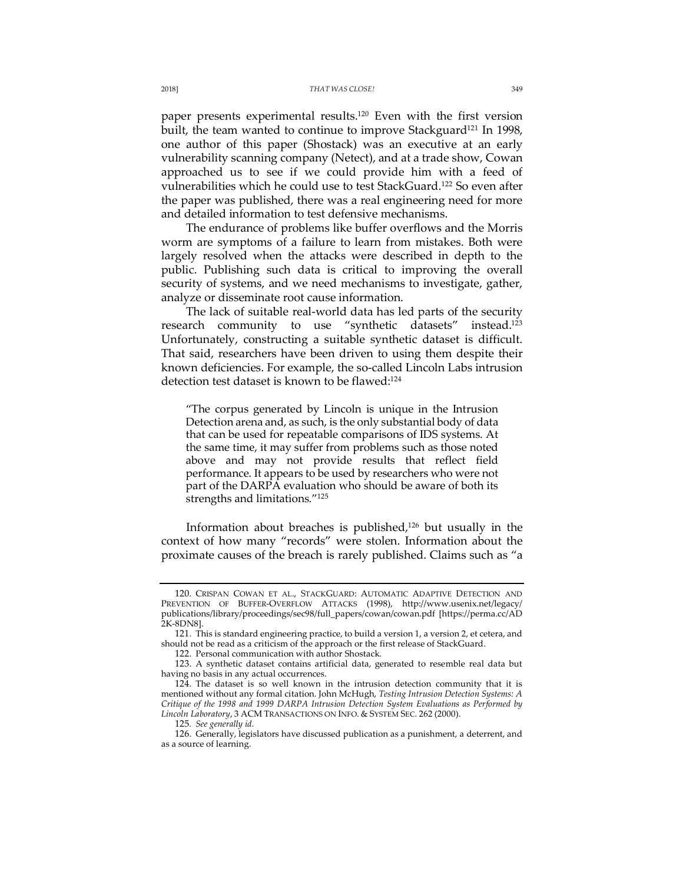paper presents experimental results.120 Even with the first version built, the team wanted to continue to improve Stackguard<sup>121</sup> In 1998, one author of this paper (Shostack) was an executive at an early vulnerability scanning company (Netect), and at a trade show, Cowan approached us to see if we could provide him with a feed of vulnerabilities which he could use to test StackGuard.122 So even after the paper was published, there was a real engineering need for more and detailed information to test defensive mechanisms.

The endurance of problems like buffer overflows and the Morris worm are symptoms of a failure to learn from mistakes. Both were largely resolved when the attacks were described in depth to the public. Publishing such data is critical to improving the overall security of systems, and we need mechanisms to investigate, gather, analyze or disseminate root cause information.

The lack of suitable real-world data has led parts of the security research community to use "synthetic datasets" instead.123 Unfortunately, constructing a suitable synthetic dataset is difficult. That said, researchers have been driven to using them despite their known deficiencies. For example, the so-called Lincoln Labs intrusion detection test dataset is known to be flawed:<sup>124</sup>

"The corpus generated by Lincoln is unique in the Intrusion Detection arena and, as such, is the only substantial body of data that can be used for repeatable comparisons of IDS systems. At the same time, it may suffer from problems such as those noted above and may not provide results that reflect field performance. It appears to be used by researchers who were not part of the DARPA evaluation who should be aware of both its strengths and limitations."125

Information about breaches is published, $126$  but usually in the context of how many "records" were stolen. Information about the proximate causes of the breach is rarely published. Claims such as "a

<sup>120.</sup> CRISPAN COWAN ET AL., STACKGUARD: AUTOMATIC ADAPTIVE DETECTION AND PREVENTION OF BUFFER-OVERFLOW ATTACKS (1998), http://www.usenix.net/legacy/ publications/library/proceedings/sec98/full\_papers/cowan/cowan.pdf [https://perma.cc/AD 2K-8DN8].

<sup>121.</sup> This is standard engineering practice, to build a version 1, a version 2, et cetera, and should not be read as a criticism of the approach or the first release of StackGuard.

<sup>122.</sup> Personal communication with author Shostack.

<sup>123.</sup> A synthetic dataset contains artificial data, generated to resemble real data but having no basis in any actual occurrences.

<sup>124.</sup> The dataset is so well known in the intrusion detection community that it is mentioned without any formal citation. John McHugh, *Testing Intrusion Detection Systems: A Critique of the 1998 and 1999 DARPA Intrusion Detection System Evaluations as Performed by Lincoln Laboratory*, 3 ACM TRANSACTIONS ON INFO. & SYSTEM SEC. 262 (2000).

<sup>125</sup>*. See generally id.*

<sup>126.</sup> Generally, legislators have discussed publication as a punishment, a deterrent, and as a source of learning.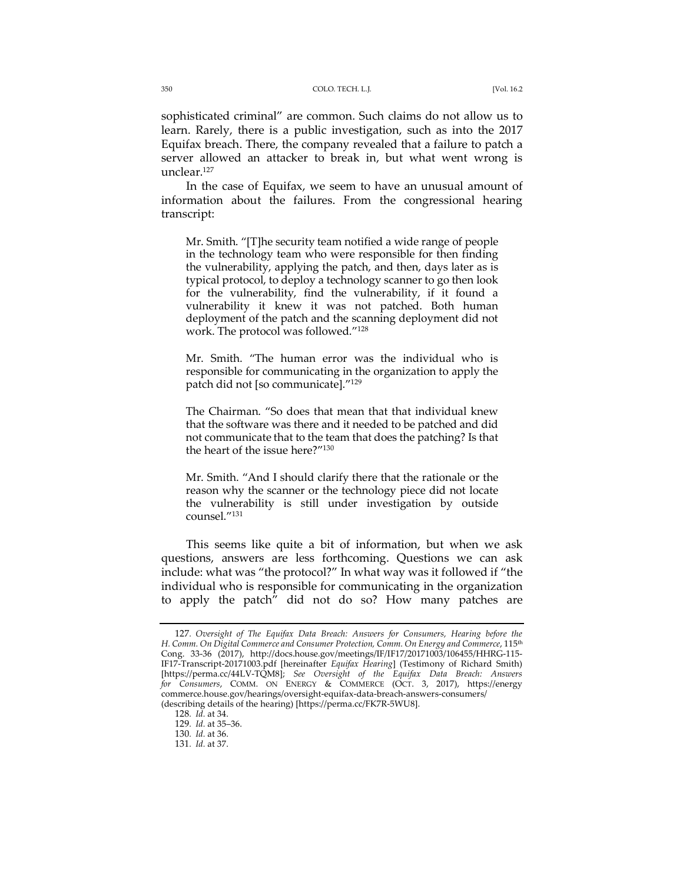sophisticated criminal" are common. Such claims do not allow us to learn. Rarely, there is a public investigation, such as into the 2017 Equifax breach. There, the company revealed that a failure to patch a server allowed an attacker to break in, but what went wrong is unclear.127

In the case of Equifax, we seem to have an unusual amount of information about the failures. From the congressional hearing transcript:

Mr. Smith. "[T]he security team notified a wide range of people in the technology team who were responsible for then finding the vulnerability, applying the patch, and then, days later as is typical protocol, to deploy a technology scanner to go then look for the vulnerability, find the vulnerability, if it found a vulnerability it knew it was not patched. Both human deployment of the patch and the scanning deployment did not work. The protocol was followed."128

Mr. Smith. "The human error was the individual who is responsible for communicating in the organization to apply the patch did not [so communicate]."129

The Chairman. "So does that mean that that individual knew that the software was there and it needed to be patched and did not communicate that to the team that does the patching? Is that the heart of the issue here?"130

Mr. Smith. "And I should clarify there that the rationale or the reason why the scanner or the technology piece did not locate the vulnerability is still under investigation by outside counsel."131

This seems like quite a bit of information, but when we ask questions, answers are less forthcoming. Questions we can ask include: what was "the protocol?" In what way was it followed if "the individual who is responsible for communicating in the organization to apply the patch" did not do so? How many patches are

<sup>127</sup>*. Oversight of The Equifax Data Breach: Answers for Consumers, Hearing before the H. Comm. On Digital Commerce and Consumer Protection, Comm. On Energy and Commerce*, 115th Cong. 33-36 (2017), http://docs.house.gov/meetings/IF/IF17/20171003/106455/HHRG-115- IF17-Transcript-20171003.pdf [hereinafter *Equifax Hearing*] (Testimony of Richard Smith) [https://perma.cc/44LV-TQM8]; *See Oversight of the Equifax Data Breach: Answers for Consumers*, COMM. ON ENERGY & COMMERCE (OCT. 3, 2017), https://energy commerce.house.gov/hearings/oversight-equifax-data-breach-answers-consumers/ (describing details of the hearing) [https://perma.cc/FK7R-5WU8].

<sup>128</sup>*. Id.* at 34.

<sup>129</sup>*. Id.* at 35–36.

<sup>130</sup>*. Id.* at 36.

<sup>131</sup>*. Id.* at 37.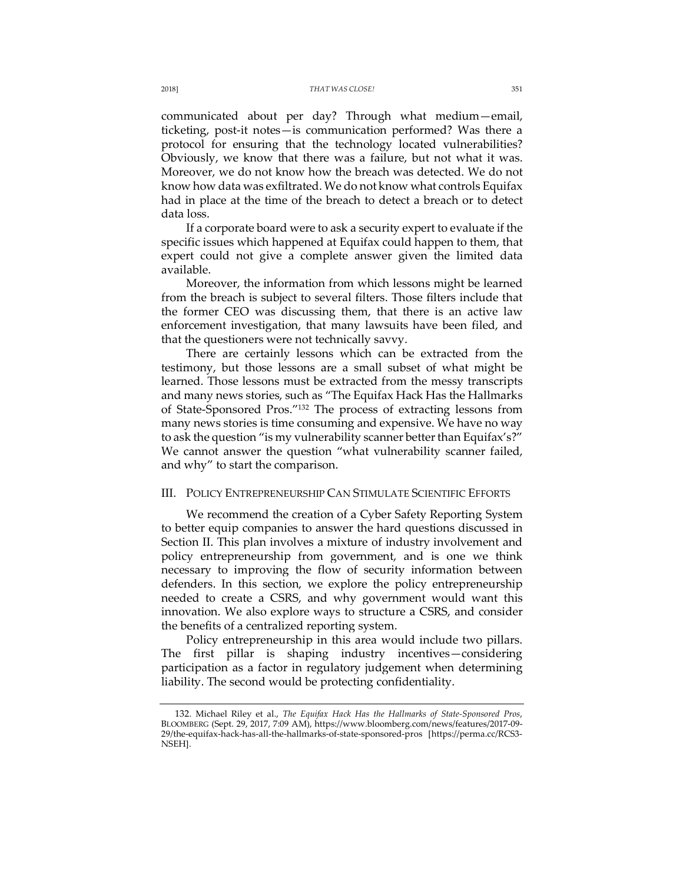communicated about per day? Through what medium—email, ticketing, post-it notes—is communication performed? Was there a protocol for ensuring that the technology located vulnerabilities? Obviously, we know that there was a failure, but not what it was. Moreover, we do not know how the breach was detected. We do not know how data was exfiltrated. We do not know what controls Equifax had in place at the time of the breach to detect a breach or to detect data loss.

If a corporate board were to ask a security expert to evaluate if the specific issues which happened at Equifax could happen to them, that expert could not give a complete answer given the limited data available.

Moreover, the information from which lessons might be learned from the breach is subject to several filters. Those filters include that the former CEO was discussing them, that there is an active law enforcement investigation, that many lawsuits have been filed, and that the questioners were not technically savvy.

There are certainly lessons which can be extracted from the testimony, but those lessons are a small subset of what might be learned. Those lessons must be extracted from the messy transcripts and many news stories, such as "The Equifax Hack Has the Hallmarks of State-Sponsored Pros."132 The process of extracting lessons from many news stories is time consuming and expensive. We have no way to ask the question "is my vulnerability scanner better than Equifax's?" We cannot answer the question "what vulnerability scanner failed, and why" to start the comparison.

## III. POLICY ENTREPRENEURSHIP CAN STIMULATE SCIENTIFIC EFFORTS

We recommend the creation of a Cyber Safety Reporting System to better equip companies to answer the hard questions discussed in Section II. This plan involves a mixture of industry involvement and policy entrepreneurship from government, and is one we think necessary to improving the flow of security information between defenders. In this section, we explore the policy entrepreneurship needed to create a CSRS, and why government would want this innovation. We also explore ways to structure a CSRS, and consider the benefits of a centralized reporting system.

Policy entrepreneurship in this area would include two pillars. The first pillar is shaping industry incentives—considering participation as a factor in regulatory judgement when determining liability. The second would be protecting confidentiality.

<sup>132.</sup> Michael Riley et al., *The Equifax Hack Has the Hallmarks of State-Sponsored Pros*, BLOOMBERG (Sept. 29, 2017, 7:09 AM), https://www.bloomberg.com/news/features/2017-09- 29/the-equifax-hack-has-all-the-hallmarks-of-state-sponsored-pros [https://perma.cc/RCS3- NSEH].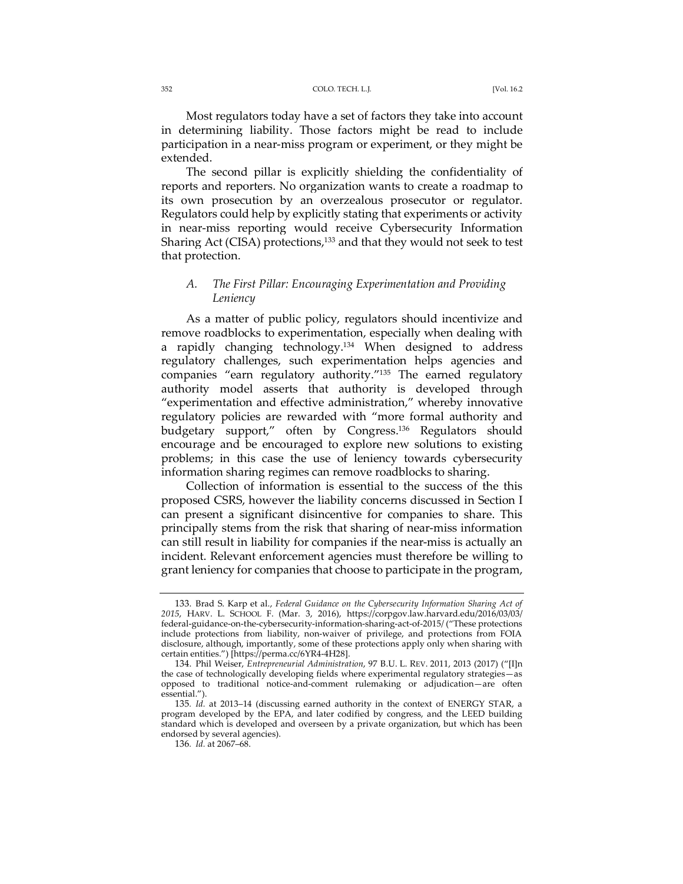#### 352 COLO. TECH. L.J. [Vol. 16.2

Most regulators today have a set of factors they take into account in determining liability. Those factors might be read to include participation in a near-miss program or experiment, or they might be extended.

The second pillar is explicitly shielding the confidentiality of reports and reporters. No organization wants to create a roadmap to its own prosecution by an overzealous prosecutor or regulator. Regulators could help by explicitly stating that experiments or activity in near-miss reporting would receive Cybersecurity Information Sharing Act (CISA) protections,<sup>133</sup> and that they would not seek to test that protection.

## *A. The First Pillar: Encouraging Experimentation and Providing Leniency*

As a matter of public policy, regulators should incentivize and remove roadblocks to experimentation, especially when dealing with a rapidly changing technology.<sup>134</sup> When designed to address regulatory challenges, such experimentation helps agencies and companies "earn regulatory authority."135 The earned regulatory authority model asserts that authority is developed through "experimentation and effective administration," whereby innovative regulatory policies are rewarded with "more formal authority and budgetary support," often by Congress.136 Regulators should encourage and be encouraged to explore new solutions to existing problems; in this case the use of leniency towards cybersecurity information sharing regimes can remove roadblocks to sharing.

Collection of information is essential to the success of the this proposed CSRS, however the liability concerns discussed in Section I can present a significant disincentive for companies to share. This principally stems from the risk that sharing of near-miss information can still result in liability for companies if the near-miss is actually an incident. Relevant enforcement agencies must therefore be willing to grant leniency for companies that choose to participate in the program,

<sup>133.</sup> Brad S. Karp et al., *Federal Guidance on the Cybersecurity Information Sharing Act of 2015*, HARV. L. SCHOOL F. (Mar. 3, 2016), https://corpgov.law.harvard.edu/2016/03/03/ federal-guidance-on-the-cybersecurity-information-sharing-act-of-2015/ ("These protections include protections from liability, non-waiver of privilege, and protections from FOIA disclosure, although, importantly, some of these protections apply only when sharing with certain entities.") [https://perma.cc/6YR4-4H28].

<sup>134.</sup> Phil Weiser, *Entrepreneurial Administration*, 97 B.U. L. REV. 2011, 2013 (2017) ("[I]n the case of technologically developing fields where experimental regulatory strategies—as opposed to traditional notice-and-comment rulemaking or adjudication—are often essential.").

<sup>135</sup>*. Id.* at 2013–14 (discussing earned authority in the context of ENERGY STAR, a program developed by the EPA, and later codified by congress, and the LEED building standard which is developed and overseen by a private organization, but which has been endorsed by several agencies).

<sup>136</sup>*. Id.* at 2067–68.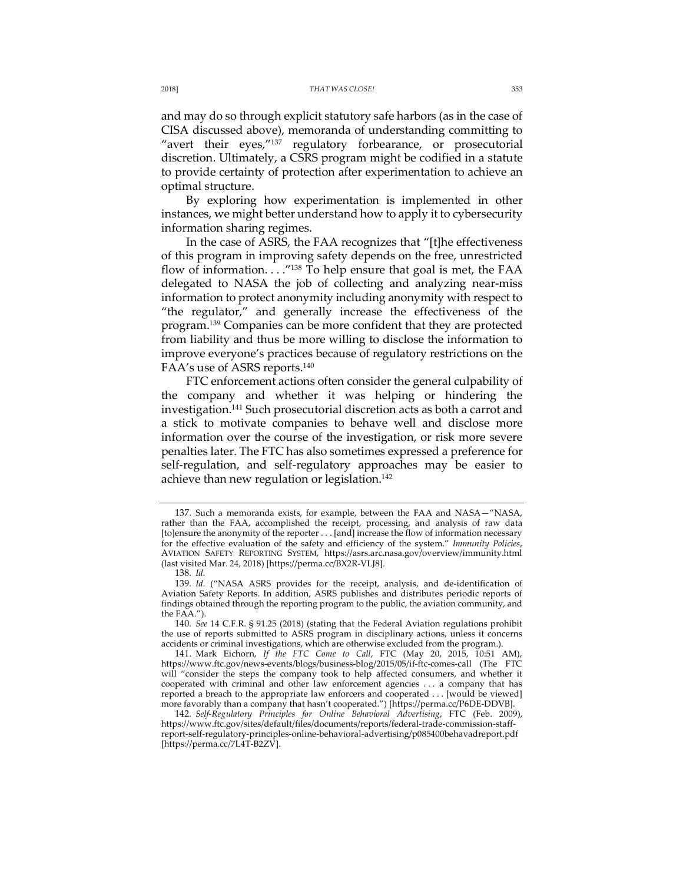and may do so through explicit statutory safe harbors (as in the case of CISA discussed above), memoranda of understanding committing to "avert their eyes,"137 regulatory forbearance, or prosecutorial discretion. Ultimately, a CSRS program might be codified in a statute to provide certainty of protection after experimentation to achieve an optimal structure.

By exploring how experimentation is implemented in other instances, we might better understand how to apply it to cybersecurity information sharing regimes.

In the case of ASRS, the FAA recognizes that "[t]he effectiveness of this program in improving safety depends on the free, unrestricted flow of information. . . . "138 To help ensure that goal is met, the FAA delegated to NASA the job of collecting and analyzing near-miss information to protect anonymity including anonymity with respect to "the regulator," and generally increase the effectiveness of the program.139 Companies can be more confident that they are protected from liability and thus be more willing to disclose the information to improve everyone's practices because of regulatory restrictions on the FAA's use of ASRS reports.140

FTC enforcement actions often consider the general culpability of the company and whether it was helping or hindering the investigation.141 Such prosecutorial discretion acts as both a carrot and a stick to motivate companies to behave well and disclose more information over the course of the investigation, or risk more severe penalties later. The FTC has also sometimes expressed a preference for self-regulation, and self-regulatory approaches may be easier to achieve than new regulation or legislation.<sup>142</sup>

<sup>137.</sup> Such a memoranda exists, for example, between the FAA and NASA—"NASA, rather than the FAA, accomplished the receipt, processing, and analysis of raw data [to]ensure the anonymity of the reporter . . . [and] increase the flow of information necessary for the effective evaluation of the safety and efficiency of the system." *Immunity Policies*, AVIATION SAFETY REPORTING SYSTEM, https://asrs.arc.nasa.gov/overview/immunity.html (last visited Mar. 24, 2018) [https://perma.cc/BX2R-VLJ8].

<sup>138</sup>*. Id.*

<sup>139</sup>*. Id.* ("NASA ASRS provides for the receipt, analysis, and de-identification of Aviation Safety Reports. In addition, ASRS publishes and distributes periodic reports of findings obtained through the reporting program to the public, the aviation community, and the FAA.").

<sup>140</sup>*. See* 14 C.F.R. § 91.25 (2018) (stating that the Federal Aviation regulations prohibit the use of reports submitted to ASRS program in disciplinary actions, unless it concerns accidents or criminal investigations, which are otherwise excluded from the program.).

<sup>141.</sup> Mark Eichorn, *If the FTC Come to Call*, FTC (May 20, 2015, 10:51 AM), https://www.ftc.gov/news-events/blogs/business-blog/2015/05/if-ftc-comes-call (The FTC will "consider the steps the company took to help affected consumers, and whether it cooperated with criminal and other law enforcement agencies . . . a company that has reported a breach to the appropriate law enforcers and cooperated . . . [would be viewed] more favorably than a company that hasn't cooperated.") [https://perma.cc/P6DE-DDVB].

<sup>142</sup>*. Self-Regulatory Principles for Online Behavioral Advertising*, FTC (Feb. 2009), https://www.ftc.gov/sites/default/files/documents/reports/federal-trade-commission-staffreport-self-regulatory-principles-online-behavioral-advertising/p085400behavadreport.pdf [https://perma.cc/7L4T-B2ZV].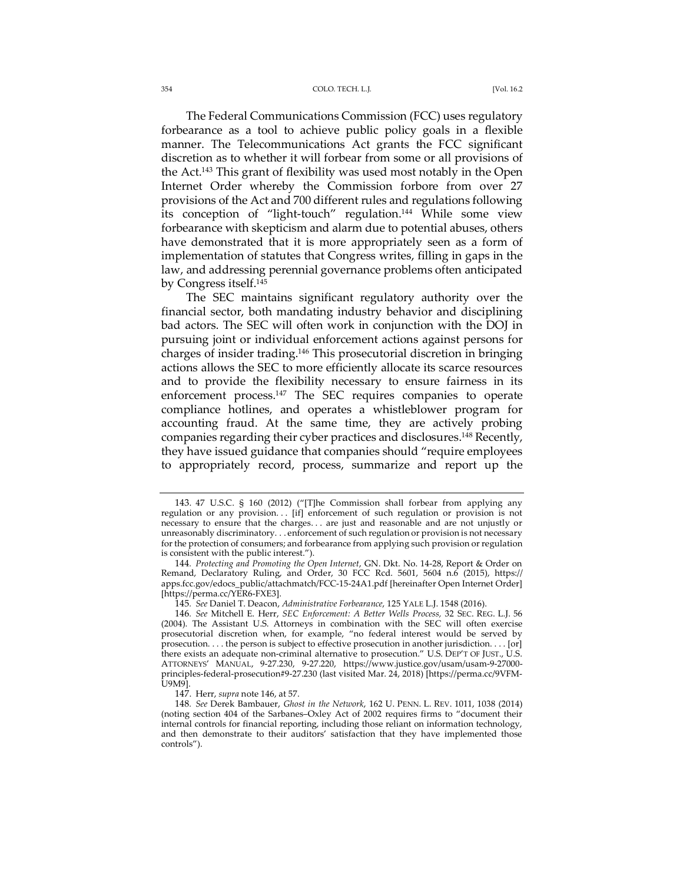#### 354 COLO. TECH. L.J. [Vol. 16.2

The Federal Communications Commission (FCC) uses regulatory forbearance as a tool to achieve public policy goals in a flexible manner. The Telecommunications Act grants the FCC significant discretion as to whether it will forbear from some or all provisions of the Act.143 This grant of flexibility was used most notably in the Open Internet Order whereby the Commission forbore from over 27 provisions of the Act and 700 different rules and regulations following its conception of "light-touch" regulation.<sup>144</sup> While some view forbearance with skepticism and alarm due to potential abuses, others have demonstrated that it is more appropriately seen as a form of implementation of statutes that Congress writes, filling in gaps in the law, and addressing perennial governance problems often anticipated by Congress itself.145

The SEC maintains significant regulatory authority over the financial sector, both mandating industry behavior and disciplining bad actors. The SEC will often work in conjunction with the DOJ in pursuing joint or individual enforcement actions against persons for charges of insider trading.146 This prosecutorial discretion in bringing actions allows the SEC to more efficiently allocate its scarce resources and to provide the flexibility necessary to ensure fairness in its enforcement process.<sup>147</sup> The SEC requires companies to operate compliance hotlines, and operates a whistleblower program for accounting fraud. At the same time, they are actively probing companies regarding their cyber practices and disclosures.<sup>148</sup> Recently, they have issued guidance that companies should "require employees to appropriately record, process, summarize and report up the

<sup>143.</sup> 47 U.S.C. § 160 (2012) ("[T]he Commission shall forbear from applying any regulation or any provision... [if] enforcement of such regulation or provision is not necessary to ensure that the charges. . . are just and reasonable and are not unjustly or unreasonably discriminatory. . . enforcement of such regulation or provision is not necessary for the protection of consumers; and forbearance from applying such provision or regulation is consistent with the public interest.").

<sup>144</sup>*. Protecting and Promoting the Open Internet*, GN. Dkt. No. 14-28, Report & Order on Remand, Declaratory Ruling, and Order, 30 FCC Rcd. 5601, 5604 n.6 (2015), https:// apps.fcc.gov/edocs\_public/attachmatch/FCC-15-24A1.pdf [hereinafter Open Internet Order] [https://perma.cc/YER6-FXE3].

<sup>145</sup>*. See* Daniel T. Deacon, *Administrative Forbearance*, 125 YALE L.J. 1548 (2016).

<sup>146</sup>*. See* Mitchell E. Herr, *SEC Enforcement: A Better Wells Process,* 32 SEC. REG. L.J. 56 (2004). The Assistant U.S. Attorneys in combination with the SEC will often exercise prosecutorial discretion when, for example, "no federal interest would be served by prosecution. . . . the person is subject to effective prosecution in another jurisdiction. . . . [or] there exists an adequate non-criminal alternative to prosecution." U.S. DEP'T OF JUST., U.S. ATTORNEYS' MANUAL, 9-27.230, 9-27.220, https://www.justice.gov/usam/usam-9-27000 principles-federal-prosecution#9-27.230 (last visited Mar. 24, 2018) [https://perma.cc/9VFM-U9M9].

<sup>147.</sup> Herr, *supra* note 146, at 57.

<sup>148</sup>*. See* Derek Bambauer, *Ghost in the Network*, 162 U. PENN. L. REV. 1011, 1038 (2014) (noting section 404 of the Sarbanes–Oxley Act of 2002 requires firms to "document their internal controls for financial reporting, including those reliant on information technology, and then demonstrate to their auditors' satisfaction that they have implemented those controls").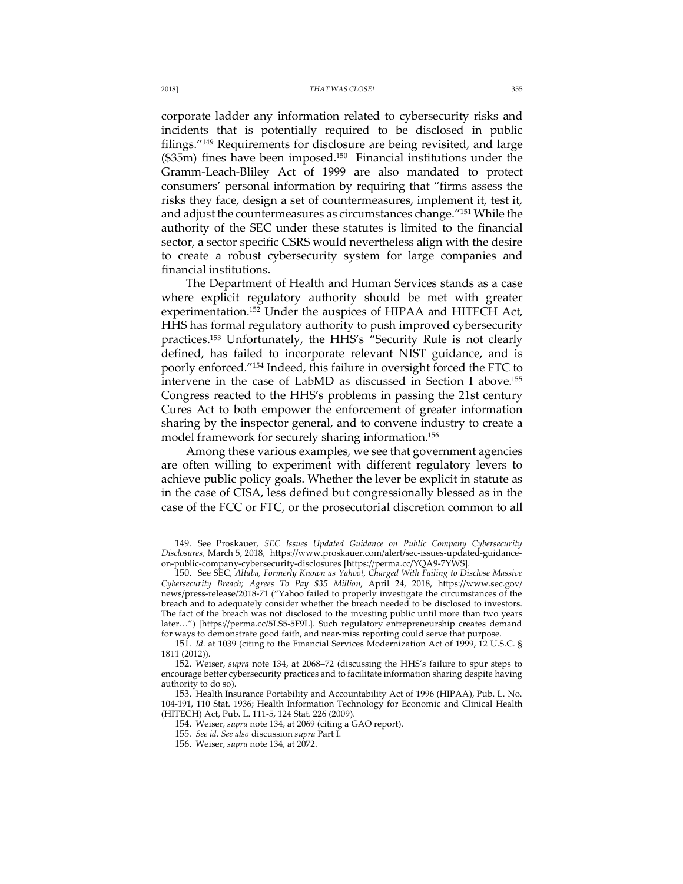corporate ladder any information related to cybersecurity risks and incidents that is potentially required to be disclosed in public filings."149 Requirements for disclosure are being revisited, and large  $($35m)$  fines have been imposed.<sup>150</sup> Financial institutions under the Gramm-Leach-Bliley Act of 1999 are also mandated to protect consumers' personal information by requiring that "firms assess the risks they face, design a set of countermeasures, implement it, test it, and adjust the countermeasures as circumstances change."151 While the authority of the SEC under these statutes is limited to the financial sector, a sector specific CSRS would nevertheless align with the desire to create a robust cybersecurity system for large companies and financial institutions.

The Department of Health and Human Services stands as a case where explicit regulatory authority should be met with greater experimentation.<sup>152</sup> Under the auspices of HIPAA and HITECH Act, HHS has formal regulatory authority to push improved cybersecurity practices.153 Unfortunately, the HHS's "Security Rule is not clearly defined, has failed to incorporate relevant NIST guidance, and is poorly enforced."154 Indeed, this failure in oversight forced the FTC to intervene in the case of LabMD as discussed in Section I above.155 Congress reacted to the HHS's problems in passing the 21st century Cures Act to both empower the enforcement of greater information sharing by the inspector general, and to convene industry to create a model framework for securely sharing information.156

Among these various examples, we see that government agencies are often willing to experiment with different regulatory levers to achieve public policy goals. Whether the lever be explicit in statute as in the case of CISA, less defined but congressionally blessed as in the case of the FCC or FTC, or the prosecutorial discretion common to all

<sup>149.</sup> See Proskauer, *SEC Issues Updated Guidance on Public Company Cybersecurity Disclosures,* March 5, 2018, https://www.proskauer.com/alert/sec-issues-updated-guidanceon-public-company-cybersecurity-disclosures [https://perma.cc/YQA9-7YWS].

<sup>150.</sup> See SEC, *Altaba, Formerly Known as Yahoo!, Charged With Failing to Disclose Massive Cybersecurity Breach; Agrees To Pay \$35 Million*, April 24, 2018, https://www.sec.gov/ news/press-release/2018-71 ("Yahoo failed to properly investigate the circumstances of the breach and to adequately consider whether the breach needed to be disclosed to investors. The fact of the breach was not disclosed to the investing public until more than two years later…") [https://perma.cc/5LS5-5F9L]. Such regulatory entrepreneurship creates demand for ways to demonstrate good faith, and near-miss reporting could serve that purpose.

<sup>151</sup>*. Id.* at 1039 (citing to the Financial Services Modernization Act of 1999, 12 U.S.C. § 1811 (2012)).

<sup>152.</sup> Weiser, *supra* note 134, at 2068–72 (discussing the HHS's failure to spur steps to encourage better cybersecurity practices and to facilitate information sharing despite having authority to do so).

<sup>153.</sup> Health Insurance Portability and Accountability Act of 1996 (HIPAA), Pub. L. No. 104-191, 110 Stat. 1936; Health Information Technology for Economic and Clinical Health (HITECH) Act, Pub. L. 111-5, 124 Stat. 226 (2009).

<sup>154.</sup> Weiser*, supra* note 134, at 2069 (citing a GAO report).

<sup>155</sup>*. See id. See also* discussion *supra* Part I.

<sup>156.</sup> Weiser, *supra* note 134, at 2072.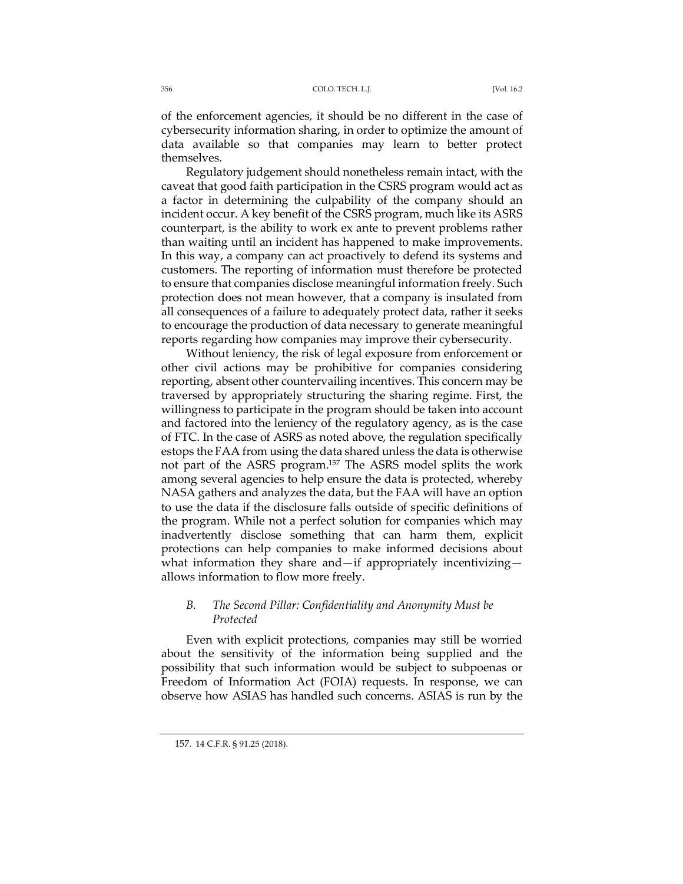of the enforcement agencies, it should be no different in the case of cybersecurity information sharing, in order to optimize the amount of data available so that companies may learn to better protect themselves.

Regulatory judgement should nonetheless remain intact, with the caveat that good faith participation in the CSRS program would act as a factor in determining the culpability of the company should an incident occur. A key benefit of the CSRS program, much like its ASRS counterpart, is the ability to work ex ante to prevent problems rather than waiting until an incident has happened to make improvements. In this way, a company can act proactively to defend its systems and customers. The reporting of information must therefore be protected to ensure that companies disclose meaningful information freely. Such protection does not mean however, that a company is insulated from all consequences of a failure to adequately protect data, rather it seeks to encourage the production of data necessary to generate meaningful reports regarding how companies may improve their cybersecurity.

Without leniency, the risk of legal exposure from enforcement or other civil actions may be prohibitive for companies considering reporting, absent other countervailing incentives. This concern may be traversed by appropriately structuring the sharing regime. First, the willingness to participate in the program should be taken into account and factored into the leniency of the regulatory agency, as is the case of FTC. In the case of ASRS as noted above, the regulation specifically estops the FAA from using the data shared unless the data is otherwise not part of the ASRS program.157 The ASRS model splits the work among several agencies to help ensure the data is protected, whereby NASA gathers and analyzes the data, but the FAA will have an option to use the data if the disclosure falls outside of specific definitions of the program. While not a perfect solution for companies which may inadvertently disclose something that can harm them, explicit protections can help companies to make informed decisions about what information they share and—if appropriately incentivizing allows information to flow more freely.

## *B. The Second Pillar: Confidentiality and Anonymity Must be Protected*

Even with explicit protections, companies may still be worried about the sensitivity of the information being supplied and the possibility that such information would be subject to subpoenas or Freedom of Information Act (FOIA) requests. In response, we can observe how ASIAS has handled such concerns. ASIAS is run by the

<sup>157.</sup> 14 C.F.R. § 91.25 (2018).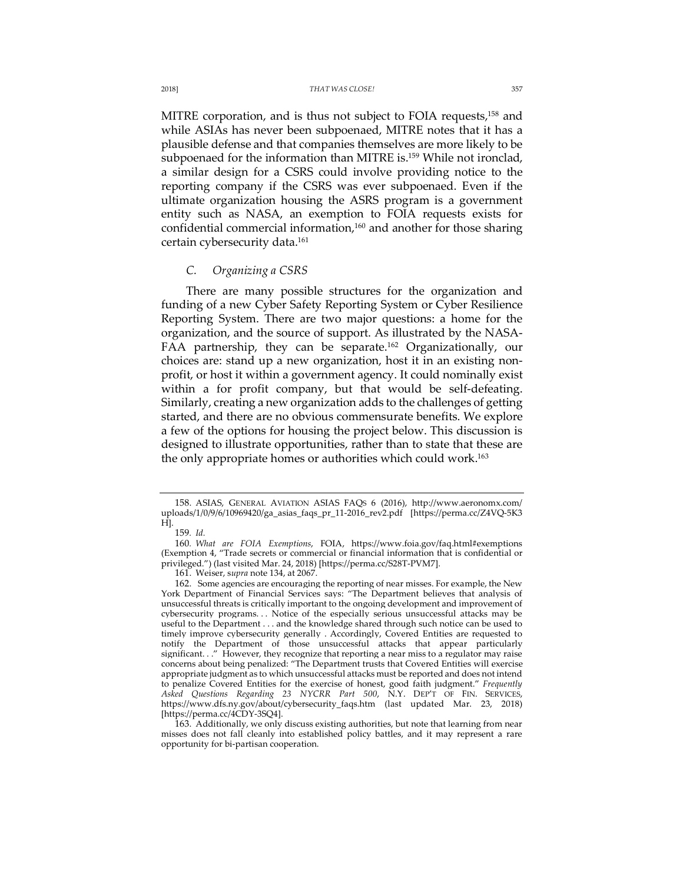MITRE corporation, and is thus not subject to FOIA requests,<sup>158</sup> and while ASIAs has never been subpoenaed, MITRE notes that it has a plausible defense and that companies themselves are more likely to be subpoenaed for the information than MITRE is.<sup>159</sup> While not ironclad, a similar design for a CSRS could involve providing notice to the reporting company if the CSRS was ever subpoenaed. Even if the ultimate organization housing the ASRS program is a government entity such as NASA, an exemption to FOIA requests exists for confidential commercial information,160 and another for those sharing certain cybersecurity data.161

## *C. Organizing a CSRS*

There are many possible structures for the organization and funding of a new Cyber Safety Reporting System or Cyber Resilience Reporting System. There are two major questions: a home for the organization, and the source of support. As illustrated by the NASA-FAA partnership, they can be separate.<sup>162</sup> Organizationally, our choices are: stand up a new organization, host it in an existing nonprofit, or host it within a government agency. It could nominally exist within a for profit company, but that would be self-defeating. Similarly, creating a new organization adds to the challenges of getting started, and there are no obvious commensurate benefits. We explore a few of the options for housing the project below. This discussion is designed to illustrate opportunities, rather than to state that these are the only appropriate homes or authorities which could work. 163

<sup>158.</sup> ASIAS, GENERAL AVIATION ASIAS FAQS 6 (2016), http://www.aeronomx.com/ uploads/1/0/9/6/10969420/ga\_asias\_faqs\_pr\_11-2016\_rev2.pdf [https://perma.cc/Z4VQ-5K3 H].

<sup>159</sup>*. Id.*

<sup>160</sup>*. What are FOIA Exemptions*, FOIA, https://www.foia.gov/faq.html#exemptions (Exemption 4, "Trade secrets or commercial or financial information that is confidential or privileged.") (last visited Mar. 24, 2018) [https://perma.cc/S28T-PVM7].

<sup>161.</sup> Weiser, s*upra* note 134, at 2067.

<sup>162.</sup> Some agencies are encouraging the reporting of near misses. For example, the New York Department of Financial Services says: "The Department believes that analysis of unsuccessful threats is critically important to the ongoing development and improvement of cybersecurity programs. . . Notice of the especially serious unsuccessful attacks may be useful to the Department . . . and the knowledge shared through such notice can be used to timely improve cybersecurity generally . Accordingly, Covered Entities are requested to notify the Department of those unsuccessful attacks that appear particularly significant. . ." However, they recognize that reporting a near miss to a regulator may raise concerns about being penalized: "The Department trusts that Covered Entities will exercise appropriate judgment as to which unsuccessful attacks must be reported and does not intend to penalize Covered Entities for the exercise of honest, good faith judgment." *Frequently Asked Questions Regarding 23 NYCRR Part 500*, N.Y. DEP'T OF FIN. SERVICES, https://www.dfs.ny.gov/about/cybersecurity\_faqs.htm (last updated Mar. 23, 2018) [https://perma.cc/4CDY-3SQ4].

<sup>163.</sup> Additionally, we only discuss existing authorities, but note that learning from near misses does not fall cleanly into established policy battles, and it may represent a rare opportunity for bi-partisan cooperation.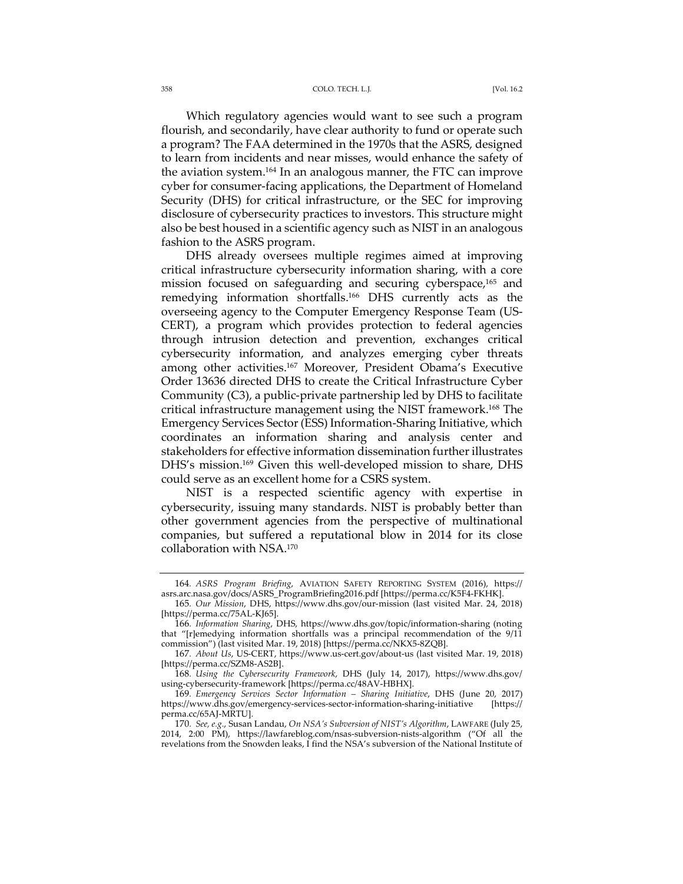#### 358 COLO. TECH. L.J. [Vol. 16.2

Which regulatory agencies would want to see such a program flourish, and secondarily, have clear authority to fund or operate such a program? The FAA determined in the 1970s that the ASRS, designed to learn from incidents and near misses, would enhance the safety of the aviation system.164 In an analogous manner, the FTC can improve cyber for consumer-facing applications, the Department of Homeland Security (DHS) for critical infrastructure, or the SEC for improving disclosure of cybersecurity practices to investors. This structure might also be best housed in a scientific agency such as NIST in an analogous fashion to the ASRS program.

DHS already oversees multiple regimes aimed at improving critical infrastructure cybersecurity information sharing, with a core mission focused on safeguarding and securing cyberspace,<sup>165</sup> and remedying information shortfalls.166 DHS currently acts as the overseeing agency to the Computer Emergency Response Team (US-CERT), a program which provides protection to federal agencies through intrusion detection and prevention, exchanges critical cybersecurity information, and analyzes emerging cyber threats among other activities.<sup>167</sup> Moreover, President Obama's Executive Order 13636 directed DHS to create the Critical Infrastructure Cyber Community (C3), a public-private partnership led by DHS to facilitate critical infrastructure management using the NIST framework.168 The Emergency Services Sector (ESS) Information-Sharing Initiative, which coordinates an information sharing and analysis center and stakeholders for effective information dissemination further illustrates DHS's mission.169 Given this well-developed mission to share, DHS could serve as an excellent home for a CSRS system.

NIST is a respected scientific agency with expertise in cybersecurity, issuing many standards. NIST is probably better than other government agencies from the perspective of multinational companies, but suffered a reputational blow in 2014 for its close collaboration with NSA.170

<sup>164</sup>*. ASRS Program Briefing*, AVIATION SAFETY REPORTING SYSTEM (2016), https:// asrs.arc.nasa.gov/docs/ASRS\_ProgramBriefing2016.pdf [https://perma.cc/K5F4-FKHK].

<sup>165</sup>*. Our Mission*, DHS, https://www.dhs.gov/our-mission (last visited Mar. 24, 2018) [https://perma.cc/75AL-KJ65].

<sup>166</sup>*. Information Sharing*, DHS, https://www.dhs.gov/topic/information-sharing (noting that "[r]emedying information shortfalls was a principal recommendation of the 9/11 commission") (last visited Mar. 19, 2018) [https://perma.cc/NKX5-8ZQB].

<sup>167</sup>*. About Us*, US-CERT, https://www.us-cert.gov/about-us (last visited Mar. 19, 2018) [https://perma.cc/SZM8-AS2B].

<sup>168</sup>*. Using the Cybersecurity Framework*, DHS (July 14, 2017), https://www.dhs.gov/ using-cybersecurity-framework [https://perma.cc/48AV-HBHX].

<sup>169</sup>*. Emergency Services Sector Information – Sharing Initiative*, DHS (June 20, 2017) https://www.dhs.gov/emergency-services-sector-information-sharing-initiative [https:// perma.cc/65AJ-MRTU].

<sup>170</sup>*. See, e.g.*, Susan Landau, *On NSA's Subversion of NIST's Algorithm*, LAWFARE (July 25, 2014, 2:00 PM), https://lawfareblog.com/nsas-subversion-nists-algorithm ("Of all the revelations from the Snowden leaks, I find the NSA's subversion of the National Institute of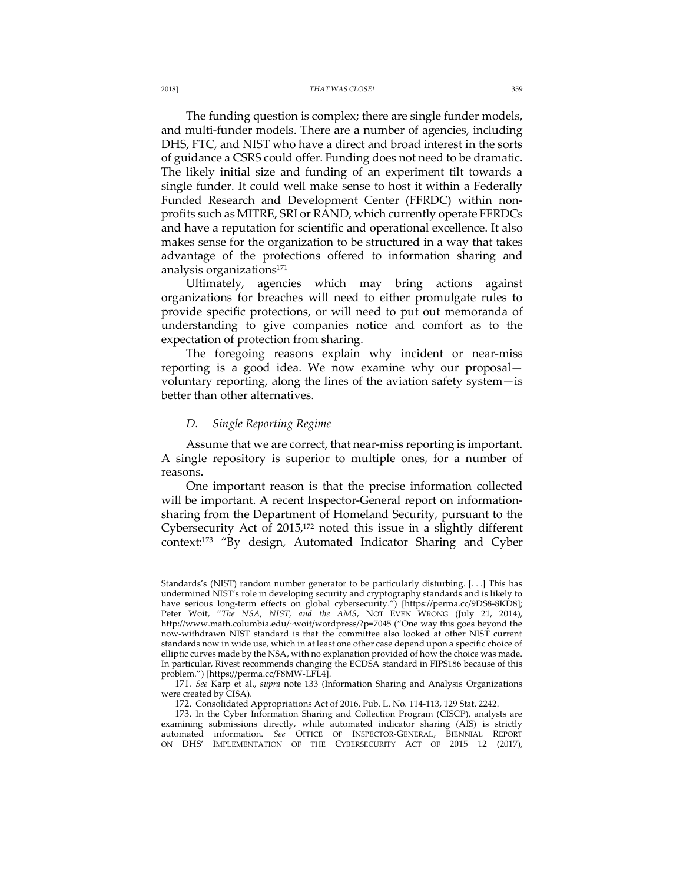The funding question is complex; there are single funder models, and multi-funder models. There are a number of agencies, including DHS, FTC, and NIST who have a direct and broad interest in the sorts of guidance a CSRS could offer. Funding does not need to be dramatic. The likely initial size and funding of an experiment tilt towards a single funder. It could well make sense to host it within a Federally Funded Research and Development Center (FFRDC) within nonprofits such as MITRE, SRI or RAND, which currently operate FFRDCs and have a reputation for scientific and operational excellence. It also makes sense for the organization to be structured in a way that takes advantage of the protections offered to information sharing and analysis organizations<sup>171</sup>

Ultimately, agencies which may bring actions against organizations for breaches will need to either promulgate rules to provide specific protections, or will need to put out memoranda of understanding to give companies notice and comfort as to the expectation of protection from sharing.

The foregoing reasons explain why incident or near-miss reporting is a good idea. We now examine why our proposal voluntary reporting, along the lines of the aviation safety system—is better than other alternatives.

## *D. Single Reporting Regime*

Assume that we are correct, that near-miss reporting is important. A single repository is superior to multiple ones, for a number of reasons.

One important reason is that the precise information collected will be important. A recent Inspector-General report on informationsharing from the Department of Homeland Security, pursuant to the Cybersecurity Act of 2015,172 noted this issue in a slightly different context:173 "By design, Automated Indicator Sharing and Cyber

Standards's (NIST) random number generator to be particularly disturbing. [. . .] This has undermined NIST's role in developing security and cryptography standards and is likely to have serious long-term effects on global cybersecurity.") [https://perma.cc/9DS8-8KD8]; Peter Woit, "*The NSA, NIST, and the AMS*, NOT EVEN WRONG (July 21, 2014), http://www.math.columbia.edu/~woit/wordpress/?p=7045 ("One way this goes beyond the now-withdrawn NIST standard is that the committee also looked at other NIST current standards now in wide use, which in at least one other case depend upon a specific choice of elliptic curves made by the NSA, with no explanation provided of how the choice was made. In particular, Rivest recommends changing the ECDSA standard in FIPS186 because of this problem.") [https://perma.cc/F8MW-LFL4].

<sup>171</sup>*. See* Karp et al., *supra* note 133 (Information Sharing and Analysis Organizations were created by CISA).

<sup>172.</sup> Consolidated Appropriations Act of 2016, Pub. L. No. 114-113, 129 Stat. 2242.

<sup>173.</sup> In the Cyber Information Sharing and Collection Program (CISCP), analysts are examining submissions directly, while automated indicator sharing (AIS) is strictly automated information. *See* OFFICE OF INSPECTOR-GENERAL, BIENNIAL REPORT ON DHS' IMPLEMENTATION OF THE CYBERSECURITY ACT OF 2015 12 (2017),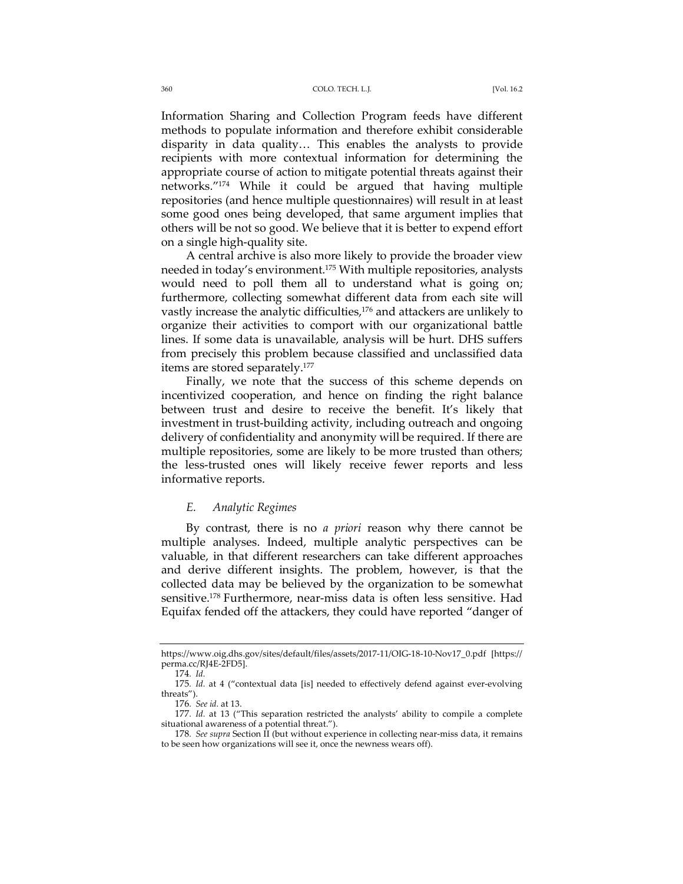Information Sharing and Collection Program feeds have different methods to populate information and therefore exhibit considerable disparity in data quality… This enables the analysts to provide recipients with more contextual information for determining the appropriate course of action to mitigate potential threats against their networks."174 While it could be argued that having multiple repositories (and hence multiple questionnaires) will result in at least some good ones being developed, that same argument implies that others will be not so good. We believe that it is better to expend effort on a single high-quality site.

A central archive is also more likely to provide the broader view needed in today's environment.175 With multiple repositories, analysts would need to poll them all to understand what is going on; furthermore, collecting somewhat different data from each site will vastly increase the analytic difficulties,<sup>176</sup> and attackers are unlikely to organize their activities to comport with our organizational battle lines. If some data is unavailable, analysis will be hurt. DHS suffers from precisely this problem because classified and unclassified data items are stored separately.177

Finally, we note that the success of this scheme depends on incentivized cooperation, and hence on finding the right balance between trust and desire to receive the benefit. It's likely that investment in trust-building activity, including outreach and ongoing delivery of confidentiality and anonymity will be required. If there are multiple repositories, some are likely to be more trusted than others; the less-trusted ones will likely receive fewer reports and less informative reports.

## *E. Analytic Regimes*

By contrast, there is no *a priori* reason why there cannot be multiple analyses. Indeed, multiple analytic perspectives can be valuable, in that different researchers can take different approaches and derive different insights. The problem, however, is that the collected data may be believed by the organization to be somewhat sensitive.178 Furthermore, near-miss data is often less sensitive. Had Equifax fended off the attackers, they could have reported "danger of

https://www.oig.dhs.gov/sites/default/files/assets/2017-11/OIG-18-10-Nov17\_0.pdf [https:// perma.cc/RJ4E-2FD5].

<sup>174</sup>*. Id.*

<sup>175</sup>*. Id.* at 4 ("contextual data [is] needed to effectively defend against ever-evolving threats").

<sup>176</sup>*. See id.* at 13.

<sup>177</sup>*. Id.* at 13 ("This separation restricted the analysts' ability to compile a complete situational awareness of a potential threat.").

<sup>178</sup>*. See supra* Section II (but without experience in collecting near-miss data, it remains to be seen how organizations will see it, once the newness wears off).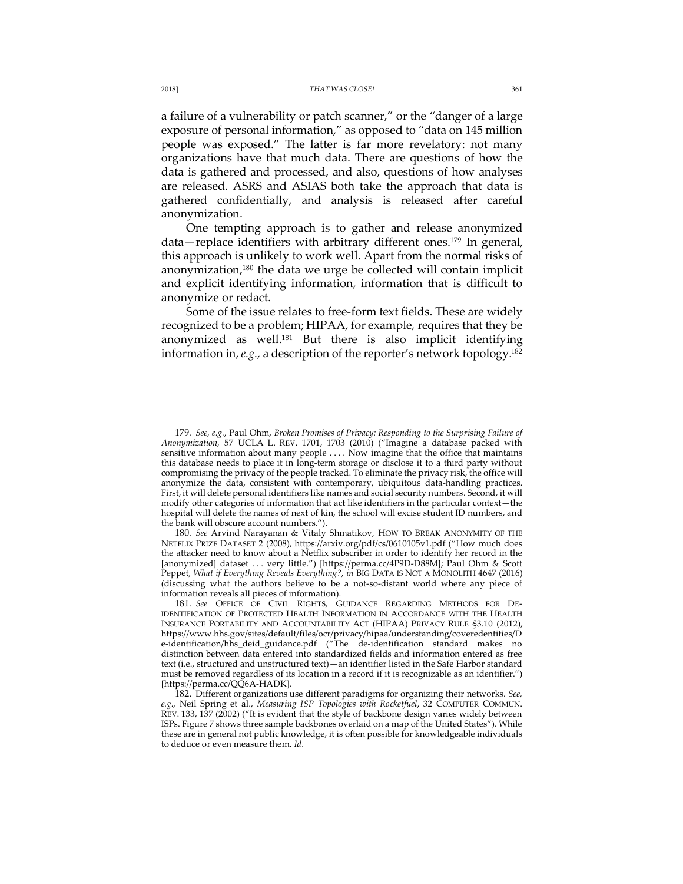a failure of a vulnerability or patch scanner," or the "danger of a large exposure of personal information," as opposed to "data on 145 million people was exposed." The latter is far more revelatory: not many organizations have that much data. There are questions of how the data is gathered and processed, and also, questions of how analyses are released. ASRS and ASIAS both take the approach that data is gathered confidentially, and analysis is released after careful anonymization.

One tempting approach is to gather and release anonymized data—replace identifiers with arbitrary different ones.<sup>179</sup> In general, this approach is unlikely to work well. Apart from the normal risks of anonymization,<sup>180</sup> the data we urge be collected will contain implicit and explicit identifying information, information that is difficult to anonymize or redact.

Some of the issue relates to free-form text fields. These are widely recognized to be a problem; HIPAA, for example*,* requires that they be anonymized as well.<sup>181</sup> But there is also implicit identifying information in, *e.g.,* a description of the reporter's network topology.182

<sup>179</sup>*. See, e.g.*, Paul Ohm, *Broken Promises of Privacy: Responding to the Surprising Failure of Anonymization,* 57 UCLA L. REV. 1701, 1703 (2010) ("Imagine a database packed with sensitive information about many people . . . . Now imagine that the office that maintains this database needs to place it in long-term storage or disclose it to a third party without compromising the privacy of the people tracked. To eliminate the privacy risk, the office will anonymize the data, consistent with contemporary, ubiquitous data-handling practices. First, it will delete personal identifiers like names and social security numbers. Second, it will modify other categories of information that act like identifiers in the particular context—the hospital will delete the names of next of kin, the school will excise student ID numbers, and the bank will obscure account numbers.").

<sup>180</sup>*. See* Arvind Narayanan & Vitaly Shmatikov, HOW TO BREAK ANONYMITY OF THE NETFLIX PRIZE DATASET 2 (2008), https://arxiv.org/pdf/cs/0610105v1.pdf ("How much does the attacker need to know about a Netflix subscriber in order to identify her record in the [anonymized] dataset . . . very little.") [https://perma.cc/4P9D-D88M]; Paul Ohm & Scott Peppet, *What if Everything Reveals Everything?*, *in* BIG DATA IS NOT A MONOLITH 4647 (2016) (discussing what the authors believe to be a not-so-distant world where any piece of information reveals all pieces of information).

<sup>181</sup>*. See* OFFICE OF CIVIL RIGHTS, GUIDANCE REGARDING METHODS FOR DE-IDENTIFICATION OF PROTECTED HEALTH INFORMATION IN ACCORDANCE WITH THE HEALTH INSURANCE PORTABILITY AND ACCOUNTABILITY ACT (HIPAA) PRIVACY RULE §3.10 (2012), https://www.hhs.gov/sites/default/files/ocr/privacy/hipaa/understanding/coveredentities/D e-identification/hhs\_deid\_guidance.pdf ("The de-identification standard makes no distinction between data entered into standardized fields and information entered as free text (i.e., structured and unstructured text)—an identifier listed in the Safe Harbor standard must be removed regardless of its location in a record if it is recognizable as an identifier.") [https://perma.cc/QQ6A-HADK].

<sup>182.</sup> Different organizations use different paradigms for organizing their networks. *See, e.g.,* Neil Spring et al., *Measuring ISP Topologies with Rocketfuel*, 32 COMPUTER COMMUN. REV. 133, 137 (2002) ("It is evident that the style of backbone design varies widely between ISPs. Figure 7 shows three sample backbones overlaid on a map of the United States"). While these are in general not public knowledge, it is often possible for knowledgeable individuals to deduce or even measure them. *Id*.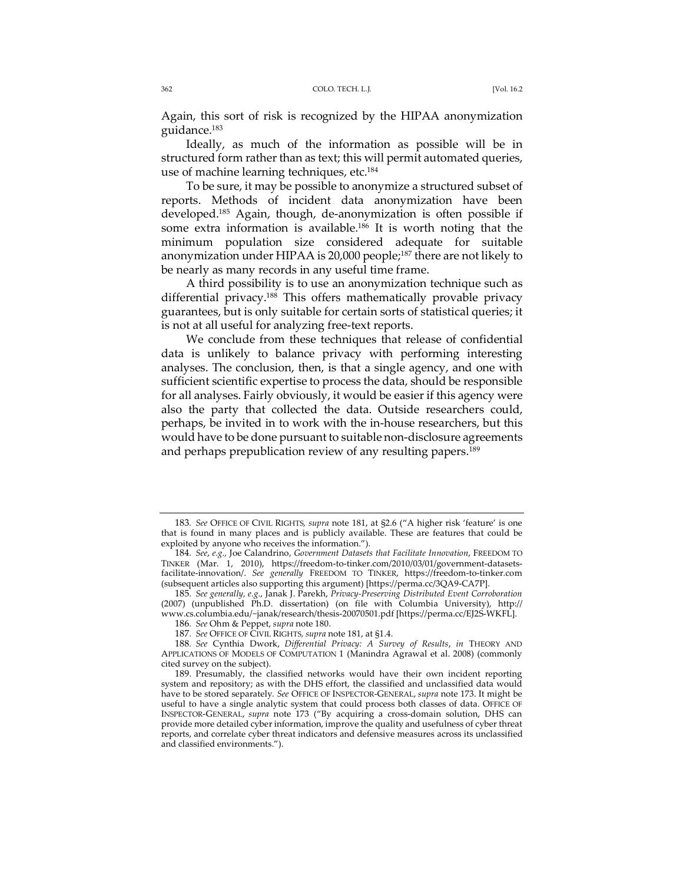Again, this sort of risk is recognized by the HIPAA anonymization guidance.183

Ideally, as much of the information as possible will be in structured form rather than as text; this will permit automated queries, use of machine learning techniques, etc.<sup>184</sup>

To be sure, it may be possible to anonymize a structured subset of reports. Methods of incident data anonymization have been developed.185 Again, though, de-anonymization is often possible if some extra information is available.<sup>186</sup> It is worth noting that the minimum population size considered adequate for suitable anonymization under HIPAA is 20,000 people;<sup>187</sup> there are not likely to be nearly as many records in any useful time frame.

A third possibility is to use an anonymization technique such as differential privacy.188 This offers mathematically provable privacy guarantees, but is only suitable for certain sorts of statistical queries; it is not at all useful for analyzing free-text reports.

We conclude from these techniques that release of confidential data is unlikely to balance privacy with performing interesting analyses. The conclusion, then, is that a single agency, and one with sufficient scientific expertise to process the data, should be responsible for all analyses. Fairly obviously, it would be easier if this agency were also the party that collected the data. Outside researchers could, perhaps, be invited in to work with the in-house researchers, but this would have to be done pursuant to suitable non-disclosure agreements and perhaps prepublication review of any resulting papers.<sup>189</sup>

<sup>183</sup>*. See* OFFICE OF CIVIL RIGHTS*, supra* note 181, at §2.6 ("A higher risk 'feature' is one that is found in many places and is publicly available. These are features that could be exploited by anyone who receives the information.").

<sup>184</sup>*. See*, *e.g.,* Joe Calandrino, *Government Datasets that Facilitate Innovation*, FREEDOM TO TINKER (Mar. 1, 2010), https://freedom-to-tinker.com/2010/03/01/government-datasetsfacilitate-innovation/. *See generally* FREEDOM TO TINKER, https://freedom-to-tinker.com (subsequent articles also supporting this argument) [https://perma.cc/3QA9-CA7P].

<sup>185</sup>*. See generally, e.g.*, Janak J. Parekh, *Privacy-Preserving Distributed Event Corroboration* (2007) (unpublished Ph.D. dissertation) (on file with Columbia University), http:// www.cs.columbia.edu/~janak/research/thesis-20070501.pdf [https://perma.cc/EJ2S-WKFL].

<sup>186</sup>*. See* Ohm & Peppet, *supra* note 180.

<sup>187</sup>*. See* OFFICE OF CIVIL RIGHTS*, supra* note 181, at §1.4.

<sup>188</sup>*. See* Cynthia Dwork, *Differential Privacy: A Survey of Results*, *in* THEORY AND APPLICATIONS OF MODELS OF COMPUTATION 1 (Manindra Agrawal et al. 2008) (commonly cited survey on the subject).

<sup>189.</sup> Presumably, the classified networks would have their own incident reporting system and repository; as with the DHS effort, the classified and unclassified data would have to be stored separately*. See* OFFICE OF INSPECTOR-GENERAL, *supra* note 173. It might be useful to have a single analytic system that could process both classes of data. OFFICE OF INSPECTOR-GENERAL, *supra* note 173 ("By acquiring a cross-domain solution, DHS can provide more detailed cyber information, improve the quality and usefulness of cyber threat reports, and correlate cyber threat indicators and defensive measures across its unclassified and classified environments.").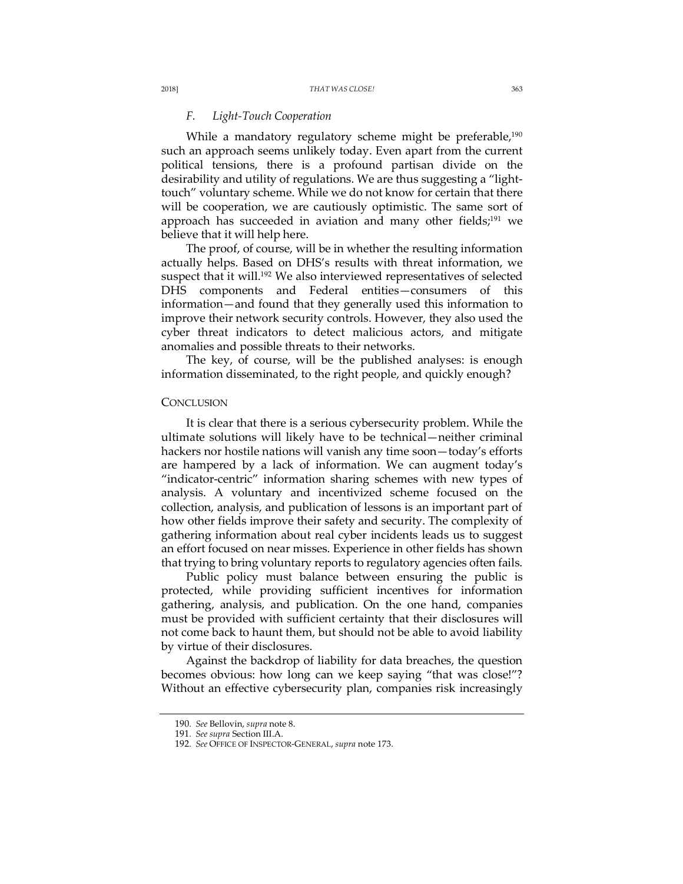### *F. Light-Touch Cooperation*

While a mandatory regulatory scheme might be preferable,<sup>190</sup> such an approach seems unlikely today. Even apart from the current political tensions, there is a profound partisan divide on the desirability and utility of regulations. We are thus suggesting a "lighttouch" voluntary scheme. While we do not know for certain that there will be cooperation, we are cautiously optimistic. The same sort of approach has succeeded in aviation and many other fields;<sup>191</sup> we believe that it will help here.

The proof, of course, will be in whether the resulting information actually helps. Based on DHS's results with threat information, we suspect that it will.<sup>192</sup> We also interviewed representatives of selected DHS components and Federal entities—consumers of this information—and found that they generally used this information to improve their network security controls. However, they also used the cyber threat indicators to detect malicious actors, and mitigate anomalies and possible threats to their networks.

The key, of course, will be the published analyses: is enough information disseminated, to the right people, and quickly enough?

## **CONCLUSION**

It is clear that there is a serious cybersecurity problem. While the ultimate solutions will likely have to be technical—neither criminal hackers nor hostile nations will vanish any time soon—today's efforts are hampered by a lack of information. We can augment today's "indicator-centric" information sharing schemes with new types of analysis. A voluntary and incentivized scheme focused on the collection, analysis, and publication of lessons is an important part of how other fields improve their safety and security. The complexity of gathering information about real cyber incidents leads us to suggest an effort focused on near misses. Experience in other fields has shown that trying to bring voluntary reports to regulatory agencies often fails.

Public policy must balance between ensuring the public is protected, while providing sufficient incentives for information gathering, analysis, and publication. On the one hand, companies must be provided with sufficient certainty that their disclosures will not come back to haunt them, but should not be able to avoid liability by virtue of their disclosures.

Against the backdrop of liability for data breaches, the question becomes obvious: how long can we keep saying "that was close!"? Without an effective cybersecurity plan, companies risk increasingly

<sup>190</sup>*. See* Bellovin, *supra* note 8.

<sup>191</sup>*. See supra* Section III.A.

<sup>192</sup>*. See* OFFICE OF INSPECTOR-GENERAL, *supra* note 173.